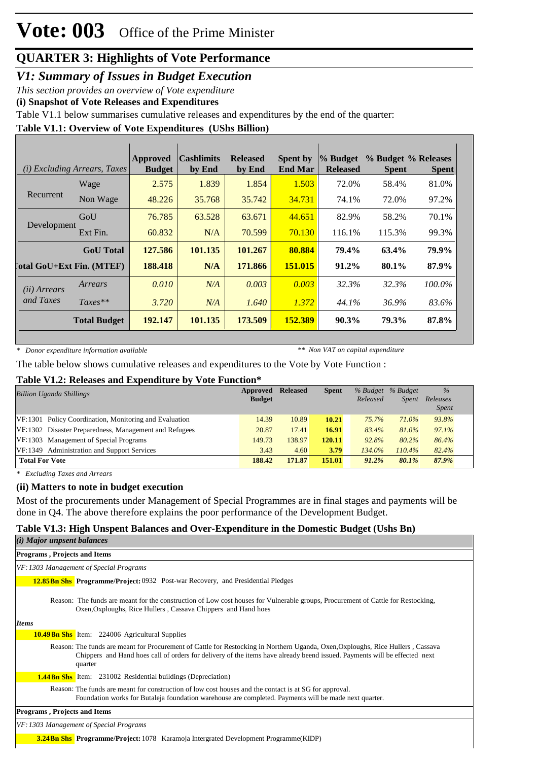*V1: Summary of Issues in Budget Execution*

*This section provides an overview of Vote expenditure* 

**(i) Snapshot of Vote Releases and Expenditures**

Table V1.1 below summarises cumulative releases and expenditures by the end of the quarter:

### **Table V1.1: Overview of Vote Expenditures (UShs Billion)**

| ( <i>i</i> ) Excluding Arrears, Taxes |                                  | Approved<br><b>Budget</b> | <b>Cashlimits</b><br>by End | <b>Released</b><br>by End | <b>Spent by</b><br><b>End Mar</b> | % Budget<br><b>Released</b> | % Budget % Releases<br><b>Spent</b> | <b>Spent</b> |
|---------------------------------------|----------------------------------|---------------------------|-----------------------------|---------------------------|-----------------------------------|-----------------------------|-------------------------------------|--------------|
|                                       | Wage                             | 2.575                     | 1.839                       | 1.854                     | 1.503                             | 72.0%                       | 58.4%                               | 81.0%        |
| Recurrent                             | Non Wage                         | 48.226                    | 35.768                      | 35.742                    | 34.731                            | 74.1%                       | 72.0%                               | 97.2%        |
|                                       | GoU                              | 76.785                    | 63.528                      | 63.671                    | 44.651                            | 82.9%                       | 58.2%                               | 70.1%        |
| Development                           | Ext Fin.                         | 60.832                    | N/A                         | 70.599                    | 70.130                            | 116.1%                      | 115.3%                              | 99.3%        |
|                                       | <b>GoU</b> Total                 | 127.586                   | 101.135                     | 101.267                   | 80.884                            | 79.4%                       | 63.4%                               | 79.9%        |
|                                       | <b>Total GoU+Ext Fin. (MTEF)</b> | 188.418                   | N/A                         | 171.866                   | 151.015                           | 91.2%                       | 80.1%                               | 87.9%        |
| ( <i>ii</i> ) Arrears                 | Arrears                          | 0.010                     | N/A                         | 0.003                     | 0.003                             | 32.3%                       | 32.3%                               | 100.0%       |
| and Taxes                             | $Taxes**$                        | 3.720                     | N/A                         | 1.640                     | 1.372                             | 44.1%                       | 36.9%                               | 83.6%        |
|                                       | <b>Total Budget</b>              | 192.147                   | 101.135                     | 173.509                   | 152.389                           | $90.3\%$                    | 79.3%                               | 87.8%        |

*\* Donor expenditure information available*

*\*\* Non VAT on capital expenditure*

The table below shows cumulative releases and expenditures to the Vote by Vote Function :

#### **Table V1.2: Releases and Expenditure by Vote Function\***

| <b>Billion Uganda Shillings</b>                        | Approved<br><b>Budget</b> | <b>Released</b> | <b>Spent</b> | % Budget<br>Released | % Budget<br><i>Spent</i> | $\%$<br>Releases<br><i>Spent</i> |
|--------------------------------------------------------|---------------------------|-----------------|--------------|----------------------|--------------------------|----------------------------------|
| VF:1301 Policy Coordination, Monitoring and Evaluation | 14.39                     | 10.89           | 10.21        | 75.7%                | 71.0%                    | 93.8%                            |
| VF:1302 Disaster Preparedness, Management and Refugees | 20.87                     | 17.41           | 16.91        | 83.4%                | 81.0%                    | 97.1%                            |
| VF:1303 Management of Special Programs                 | 149.73                    | 138.97          | 120.11       | 92.8%                | 80.2%                    | 86.4%                            |
| VF:1349 Administration and Support Services            | 3.43                      | 4.60            | 3.79         | 134.0%               | $110.4\%$                | 82.4%                            |
| <b>Total For Vote</b>                                  | 188.42                    | 171.87          | 151.01       | 91.2%                | 80.1%                    | 87.9%                            |

*\* Excluding Taxes and Arrears*

#### **(ii) Matters to note in budget execution**

Most of the procurements under Management of Special Programmes are in final stages and payments will be done in Q4. The above therefore explains the poor performance of the Development Budget.

#### **Table V1.3: High Unspent Balances and Over-Expenditure in the Domestic Budget (Ushs Bn)**

**3.24Bn Shs Programme/Project:** 1078 Karamoja Intergrated Development Programme(KIDP)

| $(i)$ Major unpsent balances        |                                                                                                                                                                                                                                                                         |
|-------------------------------------|-------------------------------------------------------------------------------------------------------------------------------------------------------------------------------------------------------------------------------------------------------------------------|
| <b>Programs, Projects and Items</b> |                                                                                                                                                                                                                                                                         |
|                                     | VF: 1303 Management of Special Programs                                                                                                                                                                                                                                 |
|                                     | <b>12.85 Bn Shs. Programme/Project: 0932</b> Post-war Recovery, and Presidential Pledges                                                                                                                                                                                |
|                                     | Reason: The funds are meant for the construction of Low cost houses for Vulnerable groups, Procurement of Cattle for Restocking,<br>Oxen, Oxploughs, Rice Hullers, Cassava Chippers and Hand hoes                                                                       |
| <b>Items</b>                        |                                                                                                                                                                                                                                                                         |
|                                     | <b>10.49 Bn Shs</b> Item: 224006 Agricultural Supplies                                                                                                                                                                                                                  |
|                                     | Reason: The funds are meant for Procurement of Cattle for Restocking in Northern Uganda, Oxen, Oxploughs, Rice Hullers, Cassava<br>Chippers and Hand hoes call of orders for delivery of the items have already beend issued. Payments will be effected next<br>quarter |
|                                     | <b>1.44Bn Shs</b> Item: 231002 Residential buildings (Depreciation)                                                                                                                                                                                                     |
|                                     | Reason: The funds are meant for construction of low cost houses and the contact is at SG for approval.<br>Foundation works for Butaleja foundation warehouse are completed. Payments will be made next quarter.                                                         |
| Programs, Projects and Items        |                                                                                                                                                                                                                                                                         |
|                                     | VF: 1303 Management of Special Programs                                                                                                                                                                                                                                 |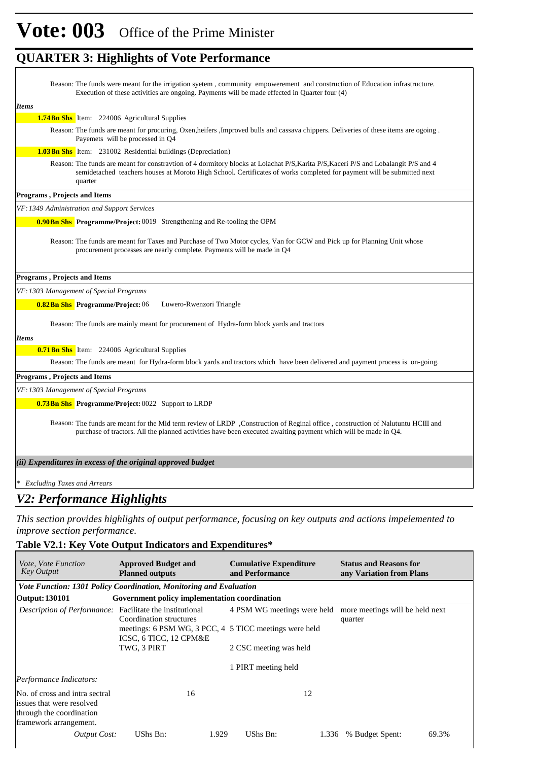| Reason: The funds were meant for the irrigation syetem, community empowerement and construction of Education infrastructure.<br>Execution of these activities are ongoing. Payments will be made effected in Quarter four (4)                                            |
|--------------------------------------------------------------------------------------------------------------------------------------------------------------------------------------------------------------------------------------------------------------------------|
| <b>Items</b>                                                                                                                                                                                                                                                             |
| <b>1.74Bn Shs</b> Item: 224006 Agricultural Supplies                                                                                                                                                                                                                     |
| Reason: The funds are meant for procuring, Oxen, heifers, Improved bulls and cassava chippers. Deliveries of these items are ogoing.<br>Payemets will be processed in Q4                                                                                                 |
| <b>1.03Bn Shs</b> Item: 231002 Residential buildings (Depreciation)                                                                                                                                                                                                      |
| Reason: The funds are meant for constravtion of 4 dormitory blocks at Lolachat P/S, Karita P/S, Kaceri P/S and Lobalangit P/S and 4<br>semidetached teachers houses at Moroto High School. Certificates of works completed for payment will be submitted next<br>quarter |
| Programs, Projects and Items                                                                                                                                                                                                                                             |
| VF: 1349 Administration and Support Services                                                                                                                                                                                                                             |
| <b>0.90 Bn Shs</b> Programme/Project: 0019 Strengthening and Re-tooling the OPM                                                                                                                                                                                          |
| Reason: The funds are meant for Taxes and Purchase of Two Motor cycles, Van for GCW and Pick up for Planning Unit whose<br>procurement processes are nearly complete. Payments will be made in Q4                                                                        |
| <b>Programs, Projects and Items</b>                                                                                                                                                                                                                                      |
| VF: 1303 Management of Special Programs                                                                                                                                                                                                                                  |
| <b>0.82Bn Shs</b> Programme/Project: 06<br>Luwero-Rwenzori Triangle                                                                                                                                                                                                      |
| Reason: The funds are mainly meant for procurement of Hydra-form block yards and tractors                                                                                                                                                                                |
| Items                                                                                                                                                                                                                                                                    |
| <b>0.71 Bn Shs</b> Item: 224006 Agricultural Supplies                                                                                                                                                                                                                    |
| Reason: The funds are meant for Hydra-form block yards and tractors which have been delivered and payment process is on-going.                                                                                                                                           |
| Programs, Projects and Items                                                                                                                                                                                                                                             |
| VF: 1303 Management of Special Programs                                                                                                                                                                                                                                  |
| <b>0.73Bn Shs</b> Programme/Project: 0022 Support to LRDP                                                                                                                                                                                                                |
| Reason: The funds are meant for the Mid term review of LRDP, Construction of Reginal office, construction of Nalutuntu HCIII and<br>purchase of tractors. All the planned activities have been executed awaiting payment which will be made in Q4.                       |
| (ii) Expenditures in excess of the original approved budget                                                                                                                                                                                                              |
| * Excluding Taxes and Arrears                                                                                                                                                                                                                                            |
|                                                                                                                                                                                                                                                                          |
| V2: Performance Highlights                                                                                                                                                                                                                                               |

*This section provides highlights of output performance, focusing on key outputs and actions impelemented to improve section performance.*

### **Table V2.1: Key Vote Output Indicators and Expenditures\***

| <i>Vote, Vote Function</i><br><b>Key Output</b>                                                                   | <b>Approved Budget and</b><br><b>Planned outputs</b>                             | <b>Cumulative Expenditure</b><br>and Performance | <b>Status and Reasons for</b><br>any Variation from Plans |  |  |  |  |  |  |
|-------------------------------------------------------------------------------------------------------------------|----------------------------------------------------------------------------------|--------------------------------------------------|-----------------------------------------------------------|--|--|--|--|--|--|
|                                                                                                                   | Vote Function: 1301 Policy Coordination, Monitoring and Evaluation               |                                                  |                                                           |  |  |  |  |  |  |
| Output: 130101                                                                                                    | Government policy implementation coordination                                    |                                                  |                                                           |  |  |  |  |  |  |
| <i>Description of Performance:</i> Facilitate the institutional                                                   | Coordination structures                                                          | 4 PSM WG meetings were held                      | more meetings will be held next<br>quarter                |  |  |  |  |  |  |
|                                                                                                                   | meetings: 6 PSM WG, 3 PCC, 4 5 TICC meetings were held<br>ICSC, 6 TICC, 12 CPM&E |                                                  |                                                           |  |  |  |  |  |  |
|                                                                                                                   | TWG, 3 PIRT                                                                      | 2 CSC meeting was held                           |                                                           |  |  |  |  |  |  |
|                                                                                                                   |                                                                                  | 1 PIRT meeting held                              |                                                           |  |  |  |  |  |  |
| Performance Indicators:                                                                                           |                                                                                  |                                                  |                                                           |  |  |  |  |  |  |
| No. of cross and intra sectral<br>issues that were resolved<br>through the coordination<br>framework arrangement. | 16                                                                               | 12                                               |                                                           |  |  |  |  |  |  |
| Output Cost:                                                                                                      | UShs Bn:<br>1.929                                                                | UShs Bn:<br>1.336                                | % Budget Spent:<br>69.3%                                  |  |  |  |  |  |  |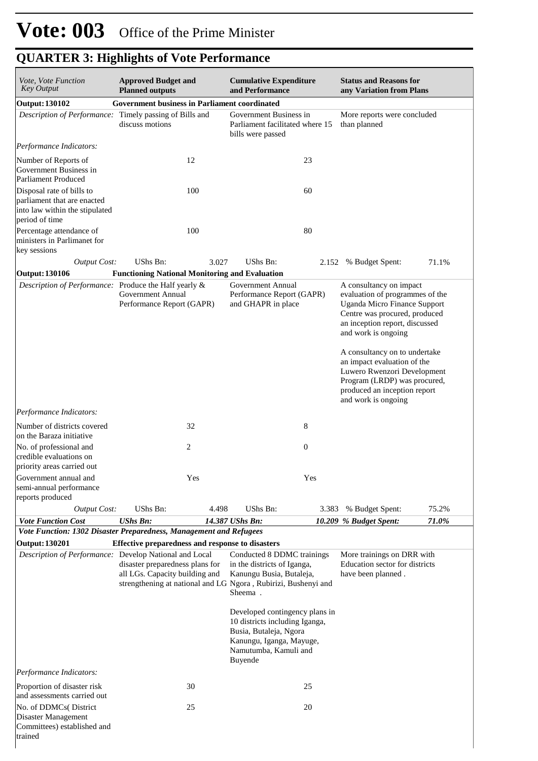| Vote, Vote Function<br><b>Key Output</b>                                                                        | <b>Approved Budget and</b>                                                                                            |       | <b>Cumulative Expenditure</b>                                                                                                                                                                                                                                                                                                    |                  | <b>Status and Reasons for</b>                                                                                                                                                                                                                                                                                                                                                     |       |  |
|-----------------------------------------------------------------------------------------------------------------|-----------------------------------------------------------------------------------------------------------------------|-------|----------------------------------------------------------------------------------------------------------------------------------------------------------------------------------------------------------------------------------------------------------------------------------------------------------------------------------|------------------|-----------------------------------------------------------------------------------------------------------------------------------------------------------------------------------------------------------------------------------------------------------------------------------------------------------------------------------------------------------------------------------|-------|--|
| <b>Output: 130102</b>                                                                                           | <b>Planned outputs</b><br><b>Government business in Parliament coordinated</b>                                        |       | and Performance                                                                                                                                                                                                                                                                                                                  |                  | any Variation from Plans                                                                                                                                                                                                                                                                                                                                                          |       |  |
| Description of Performance: Timely passing of Bills and<br>discuss motions                                      |                                                                                                                       |       | Government Business in<br>Parliament facilitated where 15<br>bills were passed                                                                                                                                                                                                                                                   |                  | More reports were concluded<br>than planned                                                                                                                                                                                                                                                                                                                                       |       |  |
| Performance Indicators:                                                                                         |                                                                                                                       |       |                                                                                                                                                                                                                                                                                                                                  |                  |                                                                                                                                                                                                                                                                                                                                                                                   |       |  |
| Number of Reports of<br>Government Business in<br>Parliament Produced                                           | 12                                                                                                                    |       |                                                                                                                                                                                                                                                                                                                                  | 23               |                                                                                                                                                                                                                                                                                                                                                                                   |       |  |
| Disposal rate of bills to<br>parliament that are enacted<br>into law within the stipulated<br>period of time    |                                                                                                                       | 100   |                                                                                                                                                                                                                                                                                                                                  | 60               |                                                                                                                                                                                                                                                                                                                                                                                   |       |  |
| Percentage attendance of<br>ministers in Parlimanet for<br>key sessions                                         |                                                                                                                       | 100   |                                                                                                                                                                                                                                                                                                                                  | 80               |                                                                                                                                                                                                                                                                                                                                                                                   |       |  |
| <b>Output Cost:</b>                                                                                             | <b>UShs Bn:</b>                                                                                                       | 3.027 | <b>UShs Bn:</b>                                                                                                                                                                                                                                                                                                                  |                  | 2.152 % Budget Spent:                                                                                                                                                                                                                                                                                                                                                             | 71.1% |  |
| <b>Output: 130106</b>                                                                                           | <b>Functioning National Monitoring and Evaluation</b>                                                                 |       |                                                                                                                                                                                                                                                                                                                                  |                  |                                                                                                                                                                                                                                                                                                                                                                                   |       |  |
| Description of Performance: Produce the Half yearly &<br>Performance Indicators:<br>Number of districts covered | Government Annual<br>Performance Report (GAPR)<br>32                                                                  |       | <b>Government Annual</b><br>Performance Report (GAPR)<br>and GHAPR in place                                                                                                                                                                                                                                                      | 8                | A consultancy on impact<br>evaluation of programmes of the<br><b>Uganda Micro Finance Support</b><br>Centre was procured, produced<br>an inception report, discussed<br>and work is ongoing<br>A consultancy on to undertake<br>an impact evaluation of the<br>Luwero Rwenzori Development<br>Program (LRDP) was procured,<br>produced an inception report<br>and work is ongoing |       |  |
| on the Baraza initiative                                                                                        |                                                                                                                       |       |                                                                                                                                                                                                                                                                                                                                  |                  |                                                                                                                                                                                                                                                                                                                                                                                   |       |  |
| No. of professional and<br>credible evaluations on                                                              | 2                                                                                                                     |       |                                                                                                                                                                                                                                                                                                                                  | $\boldsymbol{0}$ |                                                                                                                                                                                                                                                                                                                                                                                   |       |  |
| priority areas carried out                                                                                      |                                                                                                                       |       |                                                                                                                                                                                                                                                                                                                                  |                  |                                                                                                                                                                                                                                                                                                                                                                                   |       |  |
| Government annual and<br>semi-annual performance<br>reports produced                                            |                                                                                                                       | Yes   |                                                                                                                                                                                                                                                                                                                                  | Yes              |                                                                                                                                                                                                                                                                                                                                                                                   |       |  |
| <b>Output Cost:</b>                                                                                             | UShs Bn:                                                                                                              | 4.498 | UShs Bn:                                                                                                                                                                                                                                                                                                                         | 3.383            | % Budget Spent:                                                                                                                                                                                                                                                                                                                                                                   | 75.2% |  |
| <b>Vote Function Cost</b>                                                                                       | <b>UShs Bn:</b>                                                                                                       |       | 14.387 UShs Bn:                                                                                                                                                                                                                                                                                                                  |                  | 10.209 % Budget Spent:                                                                                                                                                                                                                                                                                                                                                            | 71.0% |  |
| Vote Function: 1302 Disaster Preparedness, Management and Refugees                                              |                                                                                                                       |       |                                                                                                                                                                                                                                                                                                                                  |                  |                                                                                                                                                                                                                                                                                                                                                                                   |       |  |
| <b>Output: 130201</b><br>Description of Performance: Develop National and Local                                 | Effective preparedness and response to disasters<br>disaster preparedness plans for<br>all LGs. Capacity building and |       | Conducted 8 DDMC trainings<br>in the districts of Iganga,<br>Kanungu Busia, Butaleja,<br>strengthening at national and LG Ngora, Rubirizi, Bushenyi and<br>Sheema.<br>Developed contingency plans in<br>10 districts including Iganga,<br>Busia, Butaleja, Ngora<br>Kanungu, Iganga, Mayuge,<br>Namutumba, Kamuli and<br>Buyende |                  | More trainings on DRR with<br>Education sector for districts<br>have been planned.                                                                                                                                                                                                                                                                                                |       |  |
| Performance Indicators:                                                                                         |                                                                                                                       |       |                                                                                                                                                                                                                                                                                                                                  |                  |                                                                                                                                                                                                                                                                                                                                                                                   |       |  |
| Proportion of disaster risk<br>and assessments carried out                                                      | 30                                                                                                                    |       |                                                                                                                                                                                                                                                                                                                                  | 25               |                                                                                                                                                                                                                                                                                                                                                                                   |       |  |
| No. of DDMCs(District<br>Disaster Management<br>Committees) established and<br>trained                          | 25                                                                                                                    |       |                                                                                                                                                                                                                                                                                                                                  | 20               |                                                                                                                                                                                                                                                                                                                                                                                   |       |  |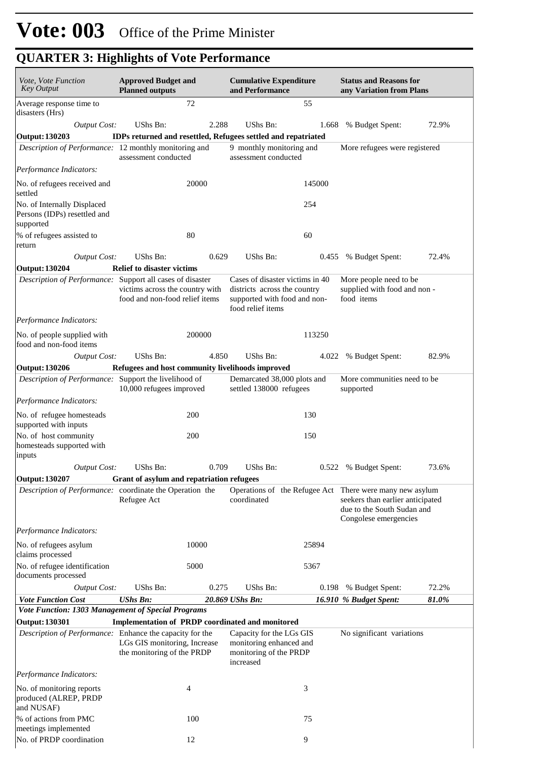| Vote, Vote Function<br>Key Output                                          | <b>Approved Budget and</b><br><b>Planned outputs</b>              |                | <b>Cumulative Expenditure</b><br>and Performance                                                                     |        | <b>Status and Reasons for</b><br>any Variation from Plans                                                                                           |       |  |
|----------------------------------------------------------------------------|-------------------------------------------------------------------|----------------|----------------------------------------------------------------------------------------------------------------------|--------|-----------------------------------------------------------------------------------------------------------------------------------------------------|-------|--|
| Average response time to<br>disasters (Hrs)                                |                                                                   | 72             |                                                                                                                      | 55     |                                                                                                                                                     |       |  |
| <b>Output Cost:</b>                                                        | <b>UShs Bn:</b>                                                   | 2.288          | UShs Bn:                                                                                                             | 1.668  | % Budget Spent:                                                                                                                                     | 72.9% |  |
| Output: 130203<br>Description of Performance: 12 monthly monitoring and    | assessment conducted                                              |                | IDPs returned and resettled, Refugees settled and repatriated<br>9 monthly monitoring and<br>assessment conducted    |        | More refugees were registered                                                                                                                       |       |  |
| Performance Indicators:                                                    |                                                                   |                |                                                                                                                      |        |                                                                                                                                                     |       |  |
| No. of refugees received and<br>settled                                    |                                                                   | 20000          |                                                                                                                      | 145000 |                                                                                                                                                     |       |  |
| No. of Internally Displaced<br>Persons (IDPs) resettled and<br>supported   |                                                                   |                |                                                                                                                      | 254    |                                                                                                                                                     |       |  |
| % of refugees assisted to<br>return                                        |                                                                   | 80             |                                                                                                                      | 60     |                                                                                                                                                     |       |  |
| <b>Output Cost:</b><br><b>Output: 130204</b>                               | UShs Bn:<br><b>Relief to disaster victims</b>                     | 0.629          | UShs Bn:                                                                                                             | 0.455  | % Budget Spent:                                                                                                                                     | 72.4% |  |
| Description of Performance: Support all cases of disaster                  | victims across the country with<br>food and non-food relief items |                | Cases of disaster victims in 40<br>districts across the country<br>supported with food and non-<br>food relief items |        | More people need to be<br>supplied with food and non-<br>food items                                                                                 |       |  |
| Performance Indicators:                                                    |                                                                   |                |                                                                                                                      |        |                                                                                                                                                     |       |  |
| No. of people supplied with<br>food and non-food items                     |                                                                   | 200000         |                                                                                                                      | 113250 |                                                                                                                                                     |       |  |
| <b>Output Cost:</b>                                                        | UShs Bn:                                                          | 4.850          | UShs Bn:                                                                                                             | 4.022  | % Budget Spent:                                                                                                                                     | 82.9% |  |
| Output: 130206                                                             | Refugees and host community livelihoods improved                  |                |                                                                                                                      |        |                                                                                                                                                     |       |  |
| Description of Performance: Support the livelihood of                      | 10,000 refugees improved                                          |                | Demarcated 38,000 plots and<br>settled 138000 refugees                                                               |        | More communities need to be<br>supported                                                                                                            |       |  |
| Performance Indicators:                                                    |                                                                   |                |                                                                                                                      |        |                                                                                                                                                     |       |  |
| No. of refugee homesteads<br>supported with inputs                         |                                                                   | 200            |                                                                                                                      | 130    |                                                                                                                                                     |       |  |
| No. of host community<br>homesteads supported with<br>inputs               |                                                                   | 200            |                                                                                                                      | 150    |                                                                                                                                                     |       |  |
| <b>Output Cost:</b>                                                        | UShs Bn:                                                          | 0.709          | UShs Bn:                                                                                                             |        | 0.522 % Budget Spent:                                                                                                                               | 73.6% |  |
| Output: 130207                                                             | Grant of asylum and repatriation refugees                         |                |                                                                                                                      |        |                                                                                                                                                     |       |  |
| Description of Performance: coordinate the Operation the                   | Refugee Act                                                       |                | coordinated                                                                                                          |        | Operations of the Refugee Act There were many new asylum<br>seekers than earlier anticipated<br>due to the South Sudan and<br>Congolese emergencies |       |  |
| Performance Indicators:                                                    |                                                                   |                |                                                                                                                      |        |                                                                                                                                                     |       |  |
| No. of refugees asylum<br>claims processed                                 |                                                                   | 10000          |                                                                                                                      | 25894  |                                                                                                                                                     |       |  |
| No. of refugee identification<br>documents processed                       |                                                                   | 5000           |                                                                                                                      | 5367   |                                                                                                                                                     |       |  |
| Output Cost:                                                               | UShs Bn:                                                          | 0.275          | UShs Bn:                                                                                                             | 0.198  | % Budget Spent:                                                                                                                                     | 72.2% |  |
| <b>Vote Function Cost</b>                                                  | <b>UShs Bn:</b>                                                   |                | 20.869 UShs Bn:                                                                                                      |        | 16.910 % Budget Spent:                                                                                                                              | 81.0% |  |
| Vote Function: 1303 Management of Special Programs                         |                                                                   |                |                                                                                                                      |        |                                                                                                                                                     |       |  |
| Output: 130301<br>Description of Performance: Enhance the capacity for the |                                                                   |                | Implementation of PRDP coordinated and monitored<br>Capacity for the LGs GIS                                         |        | No significant variations                                                                                                                           |       |  |
|                                                                            | LGs GIS monitoring, Increase<br>the monitoring of the PRDP        |                | monitoring enhanced and<br>monitoring of the PRDP<br>increased                                                       |        |                                                                                                                                                     |       |  |
| Performance Indicators:                                                    |                                                                   |                |                                                                                                                      |        |                                                                                                                                                     |       |  |
| No. of monitoring reports<br>produced (ALREP, PRDP<br>and NUSAF)           |                                                                   | $\overline{4}$ |                                                                                                                      | 3      |                                                                                                                                                     |       |  |
| % of actions from PMC<br>meetings implemented                              |                                                                   | 100            |                                                                                                                      | 75     |                                                                                                                                                     |       |  |
| No. of PRDP coordination                                                   |                                                                   | 12             |                                                                                                                      | 9      |                                                                                                                                                     |       |  |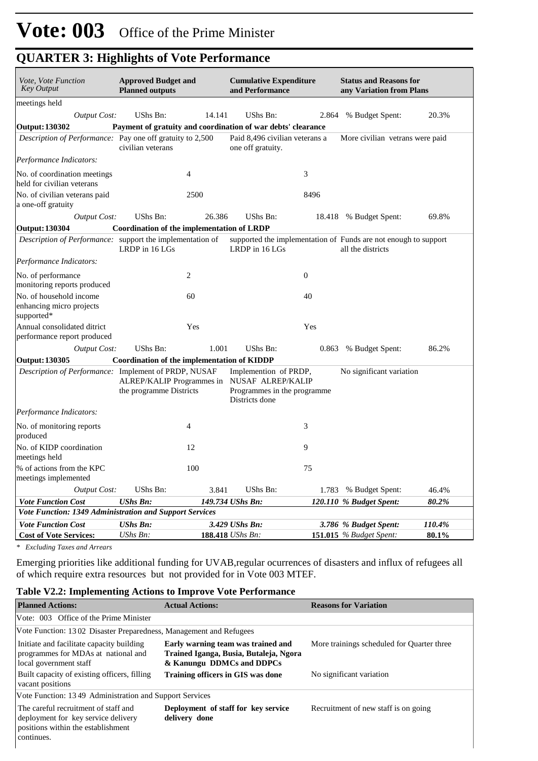| Vote, Vote Function<br><b>Key Output</b>                          | <b>Approved Budget and</b><br><b>Planned outputs</b> |                | <b>Cumulative Expenditure</b><br>and Performance                                                                       |                | <b>Status and Reasons for</b><br>any Variation from Plans                            |        |
|-------------------------------------------------------------------|------------------------------------------------------|----------------|------------------------------------------------------------------------------------------------------------------------|----------------|--------------------------------------------------------------------------------------|--------|
| meetings held                                                     |                                                      |                |                                                                                                                        |                |                                                                                      |        |
| <b>Output Cost:</b>                                               | UShs Bn:                                             | 14.141         | UShs Bn:                                                                                                               | 2.864          | % Budget Spent:                                                                      | 20.3%  |
| <b>Output: 130302</b>                                             |                                                      |                | Payment of gratuity and coordination of war debts' clearance                                                           |                |                                                                                      |        |
| Description of Performance: Pay one off gratuity to 2,500         | civilian veterans                                    |                | Paid 8.496 civilian veterans a<br>one off gratuity.                                                                    |                | More civilian vetrans were paid                                                      |        |
| Performance Indicators:                                           |                                                      |                |                                                                                                                        |                |                                                                                      |        |
| No. of coordination meetings<br>held for civilian veterans        |                                                      | 4              |                                                                                                                        | 3              |                                                                                      |        |
| No. of civilian veterans paid<br>a one-off gratuity               |                                                      | 2500           |                                                                                                                        | 8496           |                                                                                      |        |
| <b>Output Cost:</b>                                               | UShs Bn:                                             | 26.386         | UShs Bn:                                                                                                               |                | 18.418 % Budget Spent:                                                               | 69.8%  |
| <b>Output: 130304</b>                                             | Coordination of the implementation of LRDP           |                |                                                                                                                        |                |                                                                                      |        |
| Description of Performance: support the implementation of         | LRDP in 16 LGs                                       |                | LRDP in 16 LGs                                                                                                         |                | supported the implementation of Funds are not enough to support<br>all the districts |        |
| Performance Indicators:                                           |                                                      |                |                                                                                                                        |                |                                                                                      |        |
| No. of performance<br>monitoring reports produced                 |                                                      | $\overline{c}$ |                                                                                                                        | $\overline{0}$ |                                                                                      |        |
| No. of household income<br>enhancing micro projects<br>supported* |                                                      | 60             |                                                                                                                        | 40             |                                                                                      |        |
| Annual consolidated ditrict<br>performance report produced        |                                                      | Yes            |                                                                                                                        | Yes            |                                                                                      |        |
| <b>Output Cost:</b>                                               | UShs Bn:                                             | 1.001          | UShs Bn:                                                                                                               | 0.863          | % Budget Spent:                                                                      | 86.2%  |
| Output: 130305                                                    | Coordination of the implementation of KIDDP          |                |                                                                                                                        |                |                                                                                      |        |
| Description of Performance: Implement of PRDP, NUSAF              | the programme Districts                              |                | Implemention of PRDP,<br>ALREP/KALIP Programmes in NUSAF ALREP/KALIP<br>Programmes in the programme.<br>Districts done |                | No significant variation                                                             |        |
| Performance Indicators:                                           |                                                      |                |                                                                                                                        |                |                                                                                      |        |
| No. of monitoring reports<br>produced                             |                                                      | $\overline{4}$ |                                                                                                                        | 3              |                                                                                      |        |
| No. of KIDP coordination<br>meetings held                         |                                                      | 12             |                                                                                                                        | 9              |                                                                                      |        |
| % of actions from the KPC<br>meetings implemented                 |                                                      | 100            |                                                                                                                        | 75             |                                                                                      |        |
| <b>Output Cost:</b>                                               | UShs Bn:                                             | 3.841          | UShs Bn:                                                                                                               | 1.783          | % Budget Spent:                                                                      | 46.4%  |
| <b>Vote Function Cost</b>                                         | <b>UShs Bn:</b>                                      |                | 149.734 UShs Bn:                                                                                                       |                | 120.110 % Budget Spent:                                                              | 80.2%  |
| Vote Function: 1349 Administration and Support Services           |                                                      |                |                                                                                                                        |                |                                                                                      |        |
| <b>Vote Function Cost</b>                                         | <b>UShs Bn:</b>                                      |                | 3.429 UShs Bn:                                                                                                         |                | 3.786 % Budget Spent:                                                                | 110.4% |
| <b>Cost of Vote Services:</b>                                     | UShs Bn:                                             |                | <b>188.418</b> <i>UShs Bn:</i>                                                                                         |                | 151.015 $%$ Budget Spent:                                                            | 80.1%  |

*\* Excluding Taxes and Arrears*

Emerging priorities like additional funding for UVAB,regular ocurrences of disasters and influx of refugees all of which require extra resources but not provided for in Vote 003 MTEF.

#### **Table V2.2: Implementing Actions to Improve Vote Performance**

| <b>Planned Actions:</b>                                                                                                         | <b>Actual Actions:</b>                                                                                    | <b>Reasons for Variation</b>               |  |  |  |  |  |  |  |
|---------------------------------------------------------------------------------------------------------------------------------|-----------------------------------------------------------------------------------------------------------|--------------------------------------------|--|--|--|--|--|--|--|
| Vote: 003 Office of the Prime Minister                                                                                          |                                                                                                           |                                            |  |  |  |  |  |  |  |
|                                                                                                                                 | Vote Function: 1302 Disaster Preparedness, Management and Refugees                                        |                                            |  |  |  |  |  |  |  |
| Initiate and facilitate capacity building<br>programmes for MDAs at national and<br>local government staff                      | Early warning team was trained and<br>Trained Iganga, Busia, Butaleja, Ngora<br>& Kanungu DDMCs and DDPCs | More trainings scheduled for Quarter three |  |  |  |  |  |  |  |
| Built capacity of existing officers, filling<br>vacant positions                                                                | Training officers in GIS was done                                                                         | No significant variation                   |  |  |  |  |  |  |  |
| Vote Function: 1349 Administration and Support Services                                                                         |                                                                                                           |                                            |  |  |  |  |  |  |  |
| The careful recruitment of staff and<br>deployment for key service delivery<br>positions within the establishment<br>continues. | Deployment of staff for key service<br>delivery done                                                      | Recruitment of new staff is on going       |  |  |  |  |  |  |  |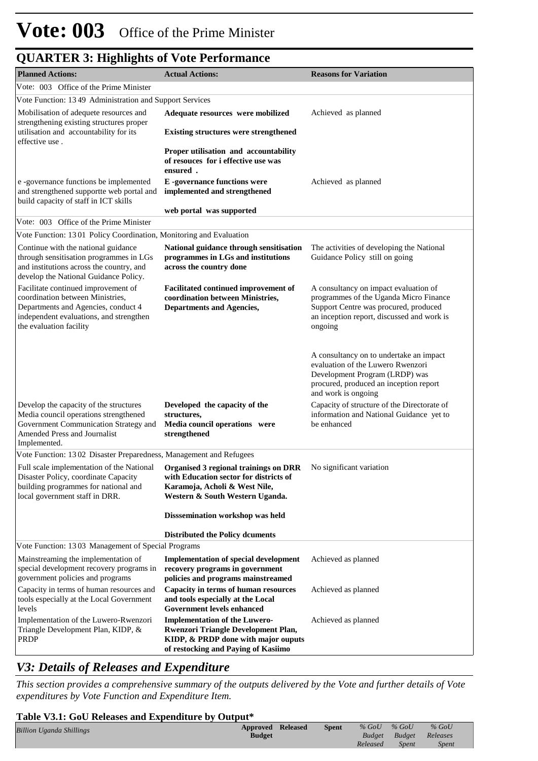| <b>Planned Actions:</b>                                                                                                                                                              | <b>Actual Actions:</b>                                                                                                                                    | <b>Reasons for Variation</b>                                                                                                                                                      |
|--------------------------------------------------------------------------------------------------------------------------------------------------------------------------------------|-----------------------------------------------------------------------------------------------------------------------------------------------------------|-----------------------------------------------------------------------------------------------------------------------------------------------------------------------------------|
| Vote: 003 Office of the Prime Minister                                                                                                                                               |                                                                                                                                                           |                                                                                                                                                                                   |
| Vote Function: 1349 Administration and Support Services                                                                                                                              |                                                                                                                                                           |                                                                                                                                                                                   |
| Mobilisation of adequete resources and                                                                                                                                               | Adequate resources were mobilized                                                                                                                         | Achieved as planned                                                                                                                                                               |
| strengthening existing structures proper<br>utilisation and accountability for its                                                                                                   | <b>Existing structures were strengthened</b>                                                                                                              |                                                                                                                                                                                   |
| effective use.                                                                                                                                                                       | Proper utilisation and accountability<br>of resouces for i effective use was<br>ensured.                                                                  |                                                                                                                                                                                   |
| e -governance functions be implemented<br>and strengthened supportte web portal and<br>build capacity of staff in ICT skills                                                         | E-governance functions were<br>implemented and strengthened                                                                                               | Achieved as planned                                                                                                                                                               |
|                                                                                                                                                                                      | web portal was supported                                                                                                                                  |                                                                                                                                                                                   |
| Vote: 003 Office of the Prime Minister                                                                                                                                               |                                                                                                                                                           |                                                                                                                                                                                   |
| Vote Function: 1301 Policy Coordination, Monitoring and Evaluation                                                                                                                   |                                                                                                                                                           |                                                                                                                                                                                   |
| Continue with the national guidance<br>through sensitisation programmes in LGs<br>and institutions across the country, and<br>develop the National Guidance Policy.                  | National guidance through sensitisation<br>programmes in LGs and institutions<br>across the country done                                                  | The activities of developing the National<br>Guidance Policy still on going                                                                                                       |
| Facilitate continued improvement of<br>coordination between Ministries,<br>Departments and Agencies, conduct 4<br>independent evaluations, and strengthen<br>the evaluation facility | Facilitated continued improvement of<br>coordination between Ministries,<br><b>Departments and Agencies,</b>                                              | A consultancy on impact evaluation of<br>programmes of the Uganda Micro Finance<br>Support Centre was procured, produced<br>an inception report, discussed and work is<br>ongoing |
|                                                                                                                                                                                      |                                                                                                                                                           | A consultancy on to undertake an impact<br>evaluation of the Luwero Rwenzori<br>Development Program (LRDP) was<br>procured, produced an inception report<br>and work is ongoing   |
| Develop the capacity of the structures<br>Media council operations strengthened<br>Government Communication Strategy and<br>Amended Press and Journalist<br>Implemented.             | Developed the capacity of the<br>structures,<br>Media council operations were<br>strengthened                                                             | Capacity of structure of the Directorate of<br>information and National Guidance yet to<br>be enhanced                                                                            |
| Vote Function: 1302 Disaster Preparedness, Management and Refugees                                                                                                                   |                                                                                                                                                           |                                                                                                                                                                                   |
| Full scale implementation of the National<br>Disaster Policy, coordinate Capacity<br>building programmes for national and<br>local government staff in DRR.                          | Organised 3 regional trainings on DRR<br>with Education sector for districts of<br>Karamoja, Acholi & West Nile,<br>Western & South Western Uganda.       | No significant variation                                                                                                                                                          |
|                                                                                                                                                                                      | Disssemination workshop was held                                                                                                                          |                                                                                                                                                                                   |
|                                                                                                                                                                                      | <b>Distributed the Policy dcuments</b>                                                                                                                    |                                                                                                                                                                                   |
| Vote Function: 1303 Management of Special Programs                                                                                                                                   |                                                                                                                                                           |                                                                                                                                                                                   |
| Mainstreaming the implementation of<br>special development recovery programs in<br>government policies and programs                                                                  | <b>Implementation of special development</b><br>recovery programs in government<br>policies and programs mainstreamed                                     | Achieved as planned                                                                                                                                                               |
| Capacity in terms of human resources and<br>tools especially at the Local Government<br>levels                                                                                       | Capacity in terms of human resources<br>and tools especially at the Local<br><b>Government levels enhanced</b>                                            | Achieved as planned                                                                                                                                                               |
| Implementation of the Luwero-Rwenzori<br>Triangle Development Plan, KIDP, &<br><b>PRDP</b>                                                                                           | <b>Implementation of the Luwero-</b><br>Rwenzori Triangle Development Plan,<br>KIDP, & PRDP done with major ouputs<br>of restocking and Paying of Kasiimo | Achieved as planned                                                                                                                                                               |

### *V3: Details of Releases and Expenditure*

*This section provides a comprehensive summary of the outputs delivered by the Vote and further details of Vote expenditures by Vote Function and Expenditure Item.*

#### **Table V3.1: GoU Releases and Expenditure by Output\***

|                                 | -----------       |       |               |              |              |  |
|---------------------------------|-------------------|-------|---------------|--------------|--------------|--|
| <b>Billion Uganda Shillings</b> | Approved Released | Spent | $%$ GoU       | $%$ GoU      | $%$ GoU      |  |
|                                 | <b>Budget</b>     |       | <b>Budget</b> | Budget       | Releases     |  |
|                                 |                   |       | Released      | <b>Spent</b> | <i>Spent</i> |  |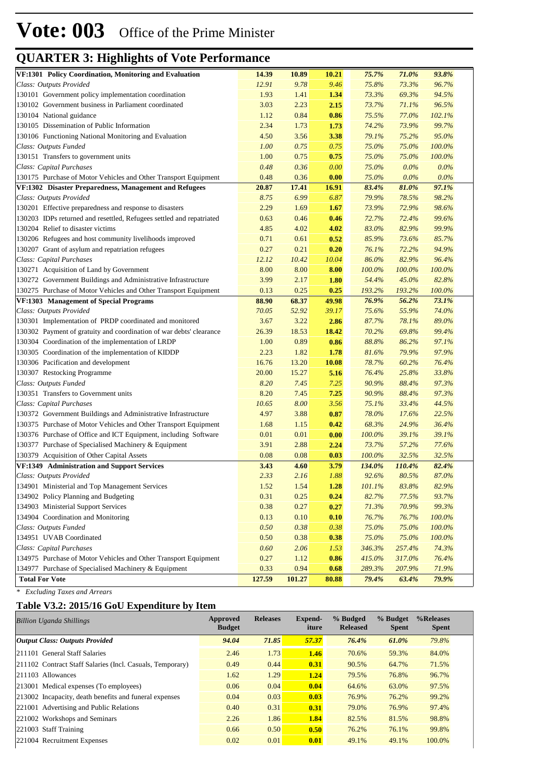| VF:1301 Policy Coordination, Monitoring and Evaluation<br>14.39<br>10.89<br>10.21<br>75.7%<br>71.0%<br>93.8%<br>9.78<br>75.8%<br>96.7%<br>Class: Outputs Provided<br>12.91<br>9.46<br>73.3%<br>130101 Government policy implementation coordination<br>94.5%<br>1.93<br>1.41<br>1.34<br>73.3%<br>69.3%<br>130102 Government business in Parliament coordinated<br>2.23<br>96.5%<br>3.03<br>73.7%<br>71.1%<br>2.15<br>130104 National guidance<br>0.84<br>0.86<br>102.1%<br>1.12<br>75.5%<br>77.0%<br>1.73<br>99.7%<br>130105 Dissemination of Public Information<br>2.34<br>1.73<br>74.2%<br>73.9%<br>130106 Functioning National Monitoring and Evaluation<br>3.56<br>3.38<br>95.0%<br>4.50<br>79.1%<br>75.2%<br>100.0%<br>Class: Outputs Funded<br>1.00<br>0.75<br>0.75<br>75.0%<br>75.0%<br>130151 Transfers to government units<br>100.0%<br>1.00<br>0.75<br>75.0%<br>75.0%<br>0.75<br>0.0%<br>Class: Capital Purchases<br>0.48<br>0.36<br>0.00<br>75.0%<br>$0.0\%$<br>$0.0\%$<br>130175 Purchase of Motor Vehicles and Other Transport Equipment<br>0.36<br>0.00<br>75.0%<br>$0.0\%$<br>0.48<br>97.1%<br>VF:1302 Disaster Preparedness, Management and Refugees<br>20.87<br>17.41<br>16.91<br>83.4%<br>81.0%<br>Class: Outputs Provided<br>6.99<br>6.87<br>79.9%<br>78.5%<br>98.2%<br>8.75<br>130201 Effective preparedness and response to disasters<br>2.29<br>1.69<br>73.9%<br>72.9%<br>98.6%<br>1.67<br>130203 IDPs returned and resettled, Refugees settled and repatriated<br>99.6%<br>0.63<br>0.46<br>0.46<br>72.7%<br>72.4%<br>130204 Relief to disaster victims<br>4.02<br>82.9%<br>99.9%<br>4.85<br>4.02<br>83.0%<br>85.7%<br>130206 Refugees and host community livelihoods improved<br>0.71<br>0.61<br>0.52<br>85.9%<br>73.6%<br>72.2%<br>94.9%<br>130207 Grant of asylum and repatriation refugees<br>0.27<br>0.21<br>0.20<br>76.1%<br>Class: Capital Purchases<br>10.04<br>82.9%<br>96.4%<br>12.12<br>10.42<br>86.0%<br>100.0%<br>130271 Acquisition of Land by Government<br>8.00<br>8.00<br>100.0%<br>100.0%<br>8.00<br>82.8%<br>130272 Government Buildings and Administrative Infrastructure<br>3.99<br>2.17<br>1.80<br>54.4%<br>45.0%<br>100.0%<br>130275 Purchase of Motor Vehicles and Other Transport Equipment<br>0.13<br>0.25<br>0.25<br>193.2%<br>193.2%<br>VF:1303 Management of Special Programs<br>88.90<br>68.37<br>49.98<br>76.9%<br>56.2%<br>73.1%<br>Class: Outputs Provided<br>52.92<br>55.9%<br>74.0%<br>70.05<br>39.17<br>75.6%<br>89.0%<br>130301 Implementation of PRDP coordinated and monitored<br>3.67<br>3.22<br>2.86<br>87.7%<br>78.1%<br>99.4%<br>130302 Payment of gratuity and coordination of war debts' clearance<br>26.39<br>18.53<br>18.42<br>70.2%<br>69.8%<br>97.1%<br>130304 Coordination of the implementation of LRDP<br>1.00<br>0.89<br>0.86<br>88.8%<br>86.2%<br>97.9%<br>130305 Coordination of the implementation of KIDDP<br>2.23<br>81.6%<br>79.9%<br>1.82<br>1.78<br>13.20<br>76.4%<br>130306 Pacification and development<br>16.76<br>10.08<br>78.7%<br>60.2%<br>130307 Restocking Programme<br>33.8%<br>20.00<br>15.27<br>76.4%<br>25.8%<br>5.16<br>90.9%<br>97.3%<br>Class: Outputs Funded<br>8.20<br>7.45<br>7.25<br>88.4%<br>130351 Transfers to Government units<br>97.3%<br>8.20<br>7.45<br>90.9%<br>88.4%<br>7.25<br>44.5%<br>Class: Capital Purchases<br>10.65<br>3.56<br>75.1%<br>33.4%<br>8.00<br>22.5%<br>130372 Government Buildings and Administrative Infrastructure<br>4.97<br>3.88<br>0.87<br>78.0%<br>17.6%<br>130375 Purchase of Motor Vehicles and Other Transport Equipment<br>36.4%<br>1.68<br>1.15<br>0.42<br>68.3%<br>24.9%<br>0.00<br>39.1%<br>130376 Purchase of Office and ICT Equipment, including Software<br>0.01<br>0.01<br>100.0%<br>39.1%<br>77.6%<br>130377 Purchase of Specialised Machinery & Equipment<br>3.91<br>2.88<br>2.24<br>73.7%<br>57.2%<br>32.5%<br>0.08<br>0.08<br>0.03<br>100.0%<br>32.5%<br>130379 Acquisition of Other Capital Assets<br>82.4%<br>VF:1349 Administration and Support Services<br>3.43<br>3.79<br>134.0%<br>110.4%<br>4.60<br>Class: Outputs Provided<br>2.16<br>1.88<br>92.6%<br>87.0%<br>2.33<br>80.5%<br>134901 Ministerial and Top Management Services<br>82.9%<br>1.52<br>1.54<br>101.1%<br>83.8%<br>1.28<br>134902 Policy Planning and Budgeting<br>0.31<br>93.7%<br>0.25<br>0.24<br>82.7%<br>77.5%<br>134903 Ministerial Support Services<br>99.3%<br>0.38<br>0.27<br>0.27<br>71.3%<br>70.9%<br>134904 Coordination and Monitoring<br>0.13<br>0.10<br>0.10<br>76.7%<br>76.7%<br>$100.0\%$<br>Class: Outputs Funded<br>0.50<br>75.0%<br>$100.0\%$<br>0.38<br>0.38<br>75.0%<br>134951 UVAB Coordinated<br>0.50<br>0.38<br>75.0%<br>$100.0\%$<br>0.38<br>75.0%<br>Class: Capital Purchases<br>0.60<br>74.3%<br>2.06<br>1.53<br>346.3%<br>257.4%<br>134975 Purchase of Motor Vehicles and Other Transport Equipment<br>1.12<br>317.0%<br>76.4%<br>0.27<br>0.86<br>415.0%<br>134977 Purchase of Specialised Machinery & Equipment<br>0.94<br>289.3%<br>207.9%<br>71.9%<br>0.33<br>0.68<br>127.59<br>101.27<br>80.88<br>79.4%<br>63.4%<br>79.9%<br><b>Total For Vote</b> | gomman of mightights of your reform |  |  |  |
|--------------------------------------------------------------------------------------------------------------------------------------------------------------------------------------------------------------------------------------------------------------------------------------------------------------------------------------------------------------------------------------------------------------------------------------------------------------------------------------------------------------------------------------------------------------------------------------------------------------------------------------------------------------------------------------------------------------------------------------------------------------------------------------------------------------------------------------------------------------------------------------------------------------------------------------------------------------------------------------------------------------------------------------------------------------------------------------------------------------------------------------------------------------------------------------------------------------------------------------------------------------------------------------------------------------------------------------------------------------------------------------------------------------------------------------------------------------------------------------------------------------------------------------------------------------------------------------------------------------------------------------------------------------------------------------------------------------------------------------------------------------------------------------------------------------------------------------------------------------------------------------------------------------------------------------------------------------------------------------------------------------------------------------------------------------------------------------------------------------------------------------------------------------------------------------------------------------------------------------------------------------------------------------------------------------------------------------------------------------------------------------------------------------------------------------------------------------------------------------------------------------------------------------------------------------------------------------------------------------------------------------------------------------------------------------------------------------------------------------------------------------------------------------------------------------------------------------------------------------------------------------------------------------------------------------------------------------------------------------------------------------------------------------------------------------------------------------------------------------------------------------------------------------------------------------------------------------------------------------------------------------------------------------------------------------------------------------------------------------------------------------------------------------------------------------------------------------------------------------------------------------------------------------------------------------------------------------------------------------------------------------------------------------------------------------------------------------------------------------------------------------------------------------------------------------------------------------------------------------------------------------------------------------------------------------------------------------------------------------------------------------------------------------------------------------------------------------------------------------------------------------------------------------------------------------------------------------------------------------------------------------------------------------------------------------------------------------------------------------------------------------------------------------------------------------------------------------------------------------------------------------------------------------------------------------------------------------------------------------------------------------------------------------------------------------------------------------------------------------------------------------------------------------------------------------------------------------------------------------------------------------------------------------------------------------------------------------------------------------------------------------------------------------------------------------------------------------------------------------|-------------------------------------|--|--|--|
|                                                                                                                                                                                                                                                                                                                                                                                                                                                                                                                                                                                                                                                                                                                                                                                                                                                                                                                                                                                                                                                                                                                                                                                                                                                                                                                                                                                                                                                                                                                                                                                                                                                                                                                                                                                                                                                                                                                                                                                                                                                                                                                                                                                                                                                                                                                                                                                                                                                                                                                                                                                                                                                                                                                                                                                                                                                                                                                                                                                                                                                                                                                                                                                                                                                                                                                                                                                                                                                                                                                                                                                                                                                                                                                                                                                                                                                                                                                                                                                                                                                                                                                                                                                                                                                                                                                                                                                                                                                                                                                                                                                                                                                                                                                                                                                                                                                                                                                                                                                                                                                                                                              |                                     |  |  |  |
|                                                                                                                                                                                                                                                                                                                                                                                                                                                                                                                                                                                                                                                                                                                                                                                                                                                                                                                                                                                                                                                                                                                                                                                                                                                                                                                                                                                                                                                                                                                                                                                                                                                                                                                                                                                                                                                                                                                                                                                                                                                                                                                                                                                                                                                                                                                                                                                                                                                                                                                                                                                                                                                                                                                                                                                                                                                                                                                                                                                                                                                                                                                                                                                                                                                                                                                                                                                                                                                                                                                                                                                                                                                                                                                                                                                                                                                                                                                                                                                                                                                                                                                                                                                                                                                                                                                                                                                                                                                                                                                                                                                                                                                                                                                                                                                                                                                                                                                                                                                                                                                                                                              |                                     |  |  |  |
|                                                                                                                                                                                                                                                                                                                                                                                                                                                                                                                                                                                                                                                                                                                                                                                                                                                                                                                                                                                                                                                                                                                                                                                                                                                                                                                                                                                                                                                                                                                                                                                                                                                                                                                                                                                                                                                                                                                                                                                                                                                                                                                                                                                                                                                                                                                                                                                                                                                                                                                                                                                                                                                                                                                                                                                                                                                                                                                                                                                                                                                                                                                                                                                                                                                                                                                                                                                                                                                                                                                                                                                                                                                                                                                                                                                                                                                                                                                                                                                                                                                                                                                                                                                                                                                                                                                                                                                                                                                                                                                                                                                                                                                                                                                                                                                                                                                                                                                                                                                                                                                                                                              |                                     |  |  |  |
|                                                                                                                                                                                                                                                                                                                                                                                                                                                                                                                                                                                                                                                                                                                                                                                                                                                                                                                                                                                                                                                                                                                                                                                                                                                                                                                                                                                                                                                                                                                                                                                                                                                                                                                                                                                                                                                                                                                                                                                                                                                                                                                                                                                                                                                                                                                                                                                                                                                                                                                                                                                                                                                                                                                                                                                                                                                                                                                                                                                                                                                                                                                                                                                                                                                                                                                                                                                                                                                                                                                                                                                                                                                                                                                                                                                                                                                                                                                                                                                                                                                                                                                                                                                                                                                                                                                                                                                                                                                                                                                                                                                                                                                                                                                                                                                                                                                                                                                                                                                                                                                                                                              |                                     |  |  |  |
|                                                                                                                                                                                                                                                                                                                                                                                                                                                                                                                                                                                                                                                                                                                                                                                                                                                                                                                                                                                                                                                                                                                                                                                                                                                                                                                                                                                                                                                                                                                                                                                                                                                                                                                                                                                                                                                                                                                                                                                                                                                                                                                                                                                                                                                                                                                                                                                                                                                                                                                                                                                                                                                                                                                                                                                                                                                                                                                                                                                                                                                                                                                                                                                                                                                                                                                                                                                                                                                                                                                                                                                                                                                                                                                                                                                                                                                                                                                                                                                                                                                                                                                                                                                                                                                                                                                                                                                                                                                                                                                                                                                                                                                                                                                                                                                                                                                                                                                                                                                                                                                                                                              |                                     |  |  |  |
|                                                                                                                                                                                                                                                                                                                                                                                                                                                                                                                                                                                                                                                                                                                                                                                                                                                                                                                                                                                                                                                                                                                                                                                                                                                                                                                                                                                                                                                                                                                                                                                                                                                                                                                                                                                                                                                                                                                                                                                                                                                                                                                                                                                                                                                                                                                                                                                                                                                                                                                                                                                                                                                                                                                                                                                                                                                                                                                                                                                                                                                                                                                                                                                                                                                                                                                                                                                                                                                                                                                                                                                                                                                                                                                                                                                                                                                                                                                                                                                                                                                                                                                                                                                                                                                                                                                                                                                                                                                                                                                                                                                                                                                                                                                                                                                                                                                                                                                                                                                                                                                                                                              |                                     |  |  |  |
|                                                                                                                                                                                                                                                                                                                                                                                                                                                                                                                                                                                                                                                                                                                                                                                                                                                                                                                                                                                                                                                                                                                                                                                                                                                                                                                                                                                                                                                                                                                                                                                                                                                                                                                                                                                                                                                                                                                                                                                                                                                                                                                                                                                                                                                                                                                                                                                                                                                                                                                                                                                                                                                                                                                                                                                                                                                                                                                                                                                                                                                                                                                                                                                                                                                                                                                                                                                                                                                                                                                                                                                                                                                                                                                                                                                                                                                                                                                                                                                                                                                                                                                                                                                                                                                                                                                                                                                                                                                                                                                                                                                                                                                                                                                                                                                                                                                                                                                                                                                                                                                                                                              |                                     |  |  |  |
|                                                                                                                                                                                                                                                                                                                                                                                                                                                                                                                                                                                                                                                                                                                                                                                                                                                                                                                                                                                                                                                                                                                                                                                                                                                                                                                                                                                                                                                                                                                                                                                                                                                                                                                                                                                                                                                                                                                                                                                                                                                                                                                                                                                                                                                                                                                                                                                                                                                                                                                                                                                                                                                                                                                                                                                                                                                                                                                                                                                                                                                                                                                                                                                                                                                                                                                                                                                                                                                                                                                                                                                                                                                                                                                                                                                                                                                                                                                                                                                                                                                                                                                                                                                                                                                                                                                                                                                                                                                                                                                                                                                                                                                                                                                                                                                                                                                                                                                                                                                                                                                                                                              |                                     |  |  |  |
|                                                                                                                                                                                                                                                                                                                                                                                                                                                                                                                                                                                                                                                                                                                                                                                                                                                                                                                                                                                                                                                                                                                                                                                                                                                                                                                                                                                                                                                                                                                                                                                                                                                                                                                                                                                                                                                                                                                                                                                                                                                                                                                                                                                                                                                                                                                                                                                                                                                                                                                                                                                                                                                                                                                                                                                                                                                                                                                                                                                                                                                                                                                                                                                                                                                                                                                                                                                                                                                                                                                                                                                                                                                                                                                                                                                                                                                                                                                                                                                                                                                                                                                                                                                                                                                                                                                                                                                                                                                                                                                                                                                                                                                                                                                                                                                                                                                                                                                                                                                                                                                                                                              |                                     |  |  |  |
|                                                                                                                                                                                                                                                                                                                                                                                                                                                                                                                                                                                                                                                                                                                                                                                                                                                                                                                                                                                                                                                                                                                                                                                                                                                                                                                                                                                                                                                                                                                                                                                                                                                                                                                                                                                                                                                                                                                                                                                                                                                                                                                                                                                                                                                                                                                                                                                                                                                                                                                                                                                                                                                                                                                                                                                                                                                                                                                                                                                                                                                                                                                                                                                                                                                                                                                                                                                                                                                                                                                                                                                                                                                                                                                                                                                                                                                                                                                                                                                                                                                                                                                                                                                                                                                                                                                                                                                                                                                                                                                                                                                                                                                                                                                                                                                                                                                                                                                                                                                                                                                                                                              |                                     |  |  |  |
|                                                                                                                                                                                                                                                                                                                                                                                                                                                                                                                                                                                                                                                                                                                                                                                                                                                                                                                                                                                                                                                                                                                                                                                                                                                                                                                                                                                                                                                                                                                                                                                                                                                                                                                                                                                                                                                                                                                                                                                                                                                                                                                                                                                                                                                                                                                                                                                                                                                                                                                                                                                                                                                                                                                                                                                                                                                                                                                                                                                                                                                                                                                                                                                                                                                                                                                                                                                                                                                                                                                                                                                                                                                                                                                                                                                                                                                                                                                                                                                                                                                                                                                                                                                                                                                                                                                                                                                                                                                                                                                                                                                                                                                                                                                                                                                                                                                                                                                                                                                                                                                                                                              |                                     |  |  |  |
|                                                                                                                                                                                                                                                                                                                                                                                                                                                                                                                                                                                                                                                                                                                                                                                                                                                                                                                                                                                                                                                                                                                                                                                                                                                                                                                                                                                                                                                                                                                                                                                                                                                                                                                                                                                                                                                                                                                                                                                                                                                                                                                                                                                                                                                                                                                                                                                                                                                                                                                                                                                                                                                                                                                                                                                                                                                                                                                                                                                                                                                                                                                                                                                                                                                                                                                                                                                                                                                                                                                                                                                                                                                                                                                                                                                                                                                                                                                                                                                                                                                                                                                                                                                                                                                                                                                                                                                                                                                                                                                                                                                                                                                                                                                                                                                                                                                                                                                                                                                                                                                                                                              |                                     |  |  |  |
|                                                                                                                                                                                                                                                                                                                                                                                                                                                                                                                                                                                                                                                                                                                                                                                                                                                                                                                                                                                                                                                                                                                                                                                                                                                                                                                                                                                                                                                                                                                                                                                                                                                                                                                                                                                                                                                                                                                                                                                                                                                                                                                                                                                                                                                                                                                                                                                                                                                                                                                                                                                                                                                                                                                                                                                                                                                                                                                                                                                                                                                                                                                                                                                                                                                                                                                                                                                                                                                                                                                                                                                                                                                                                                                                                                                                                                                                                                                                                                                                                                                                                                                                                                                                                                                                                                                                                                                                                                                                                                                                                                                                                                                                                                                                                                                                                                                                                                                                                                                                                                                                                                              |                                     |  |  |  |
|                                                                                                                                                                                                                                                                                                                                                                                                                                                                                                                                                                                                                                                                                                                                                                                                                                                                                                                                                                                                                                                                                                                                                                                                                                                                                                                                                                                                                                                                                                                                                                                                                                                                                                                                                                                                                                                                                                                                                                                                                                                                                                                                                                                                                                                                                                                                                                                                                                                                                                                                                                                                                                                                                                                                                                                                                                                                                                                                                                                                                                                                                                                                                                                                                                                                                                                                                                                                                                                                                                                                                                                                                                                                                                                                                                                                                                                                                                                                                                                                                                                                                                                                                                                                                                                                                                                                                                                                                                                                                                                                                                                                                                                                                                                                                                                                                                                                                                                                                                                                                                                                                                              |                                     |  |  |  |
|                                                                                                                                                                                                                                                                                                                                                                                                                                                                                                                                                                                                                                                                                                                                                                                                                                                                                                                                                                                                                                                                                                                                                                                                                                                                                                                                                                                                                                                                                                                                                                                                                                                                                                                                                                                                                                                                                                                                                                                                                                                                                                                                                                                                                                                                                                                                                                                                                                                                                                                                                                                                                                                                                                                                                                                                                                                                                                                                                                                                                                                                                                                                                                                                                                                                                                                                                                                                                                                                                                                                                                                                                                                                                                                                                                                                                                                                                                                                                                                                                                                                                                                                                                                                                                                                                                                                                                                                                                                                                                                                                                                                                                                                                                                                                                                                                                                                                                                                                                                                                                                                                                              |                                     |  |  |  |
|                                                                                                                                                                                                                                                                                                                                                                                                                                                                                                                                                                                                                                                                                                                                                                                                                                                                                                                                                                                                                                                                                                                                                                                                                                                                                                                                                                                                                                                                                                                                                                                                                                                                                                                                                                                                                                                                                                                                                                                                                                                                                                                                                                                                                                                                                                                                                                                                                                                                                                                                                                                                                                                                                                                                                                                                                                                                                                                                                                                                                                                                                                                                                                                                                                                                                                                                                                                                                                                                                                                                                                                                                                                                                                                                                                                                                                                                                                                                                                                                                                                                                                                                                                                                                                                                                                                                                                                                                                                                                                                                                                                                                                                                                                                                                                                                                                                                                                                                                                                                                                                                                                              |                                     |  |  |  |
|                                                                                                                                                                                                                                                                                                                                                                                                                                                                                                                                                                                                                                                                                                                                                                                                                                                                                                                                                                                                                                                                                                                                                                                                                                                                                                                                                                                                                                                                                                                                                                                                                                                                                                                                                                                                                                                                                                                                                                                                                                                                                                                                                                                                                                                                                                                                                                                                                                                                                                                                                                                                                                                                                                                                                                                                                                                                                                                                                                                                                                                                                                                                                                                                                                                                                                                                                                                                                                                                                                                                                                                                                                                                                                                                                                                                                                                                                                                                                                                                                                                                                                                                                                                                                                                                                                                                                                                                                                                                                                                                                                                                                                                                                                                                                                                                                                                                                                                                                                                                                                                                                                              |                                     |  |  |  |
|                                                                                                                                                                                                                                                                                                                                                                                                                                                                                                                                                                                                                                                                                                                                                                                                                                                                                                                                                                                                                                                                                                                                                                                                                                                                                                                                                                                                                                                                                                                                                                                                                                                                                                                                                                                                                                                                                                                                                                                                                                                                                                                                                                                                                                                                                                                                                                                                                                                                                                                                                                                                                                                                                                                                                                                                                                                                                                                                                                                                                                                                                                                                                                                                                                                                                                                                                                                                                                                                                                                                                                                                                                                                                                                                                                                                                                                                                                                                                                                                                                                                                                                                                                                                                                                                                                                                                                                                                                                                                                                                                                                                                                                                                                                                                                                                                                                                                                                                                                                                                                                                                                              |                                     |  |  |  |
|                                                                                                                                                                                                                                                                                                                                                                                                                                                                                                                                                                                                                                                                                                                                                                                                                                                                                                                                                                                                                                                                                                                                                                                                                                                                                                                                                                                                                                                                                                                                                                                                                                                                                                                                                                                                                                                                                                                                                                                                                                                                                                                                                                                                                                                                                                                                                                                                                                                                                                                                                                                                                                                                                                                                                                                                                                                                                                                                                                                                                                                                                                                                                                                                                                                                                                                                                                                                                                                                                                                                                                                                                                                                                                                                                                                                                                                                                                                                                                                                                                                                                                                                                                                                                                                                                                                                                                                                                                                                                                                                                                                                                                                                                                                                                                                                                                                                                                                                                                                                                                                                                                              |                                     |  |  |  |
|                                                                                                                                                                                                                                                                                                                                                                                                                                                                                                                                                                                                                                                                                                                                                                                                                                                                                                                                                                                                                                                                                                                                                                                                                                                                                                                                                                                                                                                                                                                                                                                                                                                                                                                                                                                                                                                                                                                                                                                                                                                                                                                                                                                                                                                                                                                                                                                                                                                                                                                                                                                                                                                                                                                                                                                                                                                                                                                                                                                                                                                                                                                                                                                                                                                                                                                                                                                                                                                                                                                                                                                                                                                                                                                                                                                                                                                                                                                                                                                                                                                                                                                                                                                                                                                                                                                                                                                                                                                                                                                                                                                                                                                                                                                                                                                                                                                                                                                                                                                                                                                                                                              |                                     |  |  |  |
|                                                                                                                                                                                                                                                                                                                                                                                                                                                                                                                                                                                                                                                                                                                                                                                                                                                                                                                                                                                                                                                                                                                                                                                                                                                                                                                                                                                                                                                                                                                                                                                                                                                                                                                                                                                                                                                                                                                                                                                                                                                                                                                                                                                                                                                                                                                                                                                                                                                                                                                                                                                                                                                                                                                                                                                                                                                                                                                                                                                                                                                                                                                                                                                                                                                                                                                                                                                                                                                                                                                                                                                                                                                                                                                                                                                                                                                                                                                                                                                                                                                                                                                                                                                                                                                                                                                                                                                                                                                                                                                                                                                                                                                                                                                                                                                                                                                                                                                                                                                                                                                                                                              |                                     |  |  |  |
|                                                                                                                                                                                                                                                                                                                                                                                                                                                                                                                                                                                                                                                                                                                                                                                                                                                                                                                                                                                                                                                                                                                                                                                                                                                                                                                                                                                                                                                                                                                                                                                                                                                                                                                                                                                                                                                                                                                                                                                                                                                                                                                                                                                                                                                                                                                                                                                                                                                                                                                                                                                                                                                                                                                                                                                                                                                                                                                                                                                                                                                                                                                                                                                                                                                                                                                                                                                                                                                                                                                                                                                                                                                                                                                                                                                                                                                                                                                                                                                                                                                                                                                                                                                                                                                                                                                                                                                                                                                                                                                                                                                                                                                                                                                                                                                                                                                                                                                                                                                                                                                                                                              |                                     |  |  |  |
|                                                                                                                                                                                                                                                                                                                                                                                                                                                                                                                                                                                                                                                                                                                                                                                                                                                                                                                                                                                                                                                                                                                                                                                                                                                                                                                                                                                                                                                                                                                                                                                                                                                                                                                                                                                                                                                                                                                                                                                                                                                                                                                                                                                                                                                                                                                                                                                                                                                                                                                                                                                                                                                                                                                                                                                                                                                                                                                                                                                                                                                                                                                                                                                                                                                                                                                                                                                                                                                                                                                                                                                                                                                                                                                                                                                                                                                                                                                                                                                                                                                                                                                                                                                                                                                                                                                                                                                                                                                                                                                                                                                                                                                                                                                                                                                                                                                                                                                                                                                                                                                                                                              |                                     |  |  |  |
|                                                                                                                                                                                                                                                                                                                                                                                                                                                                                                                                                                                                                                                                                                                                                                                                                                                                                                                                                                                                                                                                                                                                                                                                                                                                                                                                                                                                                                                                                                                                                                                                                                                                                                                                                                                                                                                                                                                                                                                                                                                                                                                                                                                                                                                                                                                                                                                                                                                                                                                                                                                                                                                                                                                                                                                                                                                                                                                                                                                                                                                                                                                                                                                                                                                                                                                                                                                                                                                                                                                                                                                                                                                                                                                                                                                                                                                                                                                                                                                                                                                                                                                                                                                                                                                                                                                                                                                                                                                                                                                                                                                                                                                                                                                                                                                                                                                                                                                                                                                                                                                                                                              |                                     |  |  |  |
|                                                                                                                                                                                                                                                                                                                                                                                                                                                                                                                                                                                                                                                                                                                                                                                                                                                                                                                                                                                                                                                                                                                                                                                                                                                                                                                                                                                                                                                                                                                                                                                                                                                                                                                                                                                                                                                                                                                                                                                                                                                                                                                                                                                                                                                                                                                                                                                                                                                                                                                                                                                                                                                                                                                                                                                                                                                                                                                                                                                                                                                                                                                                                                                                                                                                                                                                                                                                                                                                                                                                                                                                                                                                                                                                                                                                                                                                                                                                                                                                                                                                                                                                                                                                                                                                                                                                                                                                                                                                                                                                                                                                                                                                                                                                                                                                                                                                                                                                                                                                                                                                                                              |                                     |  |  |  |
|                                                                                                                                                                                                                                                                                                                                                                                                                                                                                                                                                                                                                                                                                                                                                                                                                                                                                                                                                                                                                                                                                                                                                                                                                                                                                                                                                                                                                                                                                                                                                                                                                                                                                                                                                                                                                                                                                                                                                                                                                                                                                                                                                                                                                                                                                                                                                                                                                                                                                                                                                                                                                                                                                                                                                                                                                                                                                                                                                                                                                                                                                                                                                                                                                                                                                                                                                                                                                                                                                                                                                                                                                                                                                                                                                                                                                                                                                                                                                                                                                                                                                                                                                                                                                                                                                                                                                                                                                                                                                                                                                                                                                                                                                                                                                                                                                                                                                                                                                                                                                                                                                                              |                                     |  |  |  |
|                                                                                                                                                                                                                                                                                                                                                                                                                                                                                                                                                                                                                                                                                                                                                                                                                                                                                                                                                                                                                                                                                                                                                                                                                                                                                                                                                                                                                                                                                                                                                                                                                                                                                                                                                                                                                                                                                                                                                                                                                                                                                                                                                                                                                                                                                                                                                                                                                                                                                                                                                                                                                                                                                                                                                                                                                                                                                                                                                                                                                                                                                                                                                                                                                                                                                                                                                                                                                                                                                                                                                                                                                                                                                                                                                                                                                                                                                                                                                                                                                                                                                                                                                                                                                                                                                                                                                                                                                                                                                                                                                                                                                                                                                                                                                                                                                                                                                                                                                                                                                                                                                                              |                                     |  |  |  |
|                                                                                                                                                                                                                                                                                                                                                                                                                                                                                                                                                                                                                                                                                                                                                                                                                                                                                                                                                                                                                                                                                                                                                                                                                                                                                                                                                                                                                                                                                                                                                                                                                                                                                                                                                                                                                                                                                                                                                                                                                                                                                                                                                                                                                                                                                                                                                                                                                                                                                                                                                                                                                                                                                                                                                                                                                                                                                                                                                                                                                                                                                                                                                                                                                                                                                                                                                                                                                                                                                                                                                                                                                                                                                                                                                                                                                                                                                                                                                                                                                                                                                                                                                                                                                                                                                                                                                                                                                                                                                                                                                                                                                                                                                                                                                                                                                                                                                                                                                                                                                                                                                                              |                                     |  |  |  |
|                                                                                                                                                                                                                                                                                                                                                                                                                                                                                                                                                                                                                                                                                                                                                                                                                                                                                                                                                                                                                                                                                                                                                                                                                                                                                                                                                                                                                                                                                                                                                                                                                                                                                                                                                                                                                                                                                                                                                                                                                                                                                                                                                                                                                                                                                                                                                                                                                                                                                                                                                                                                                                                                                                                                                                                                                                                                                                                                                                                                                                                                                                                                                                                                                                                                                                                                                                                                                                                                                                                                                                                                                                                                                                                                                                                                                                                                                                                                                                                                                                                                                                                                                                                                                                                                                                                                                                                                                                                                                                                                                                                                                                                                                                                                                                                                                                                                                                                                                                                                                                                                                                              |                                     |  |  |  |
|                                                                                                                                                                                                                                                                                                                                                                                                                                                                                                                                                                                                                                                                                                                                                                                                                                                                                                                                                                                                                                                                                                                                                                                                                                                                                                                                                                                                                                                                                                                                                                                                                                                                                                                                                                                                                                                                                                                                                                                                                                                                                                                                                                                                                                                                                                                                                                                                                                                                                                                                                                                                                                                                                                                                                                                                                                                                                                                                                                                                                                                                                                                                                                                                                                                                                                                                                                                                                                                                                                                                                                                                                                                                                                                                                                                                                                                                                                                                                                                                                                                                                                                                                                                                                                                                                                                                                                                                                                                                                                                                                                                                                                                                                                                                                                                                                                                                                                                                                                                                                                                                                                              |                                     |  |  |  |
|                                                                                                                                                                                                                                                                                                                                                                                                                                                                                                                                                                                                                                                                                                                                                                                                                                                                                                                                                                                                                                                                                                                                                                                                                                                                                                                                                                                                                                                                                                                                                                                                                                                                                                                                                                                                                                                                                                                                                                                                                                                                                                                                                                                                                                                                                                                                                                                                                                                                                                                                                                                                                                                                                                                                                                                                                                                                                                                                                                                                                                                                                                                                                                                                                                                                                                                                                                                                                                                                                                                                                                                                                                                                                                                                                                                                                                                                                                                                                                                                                                                                                                                                                                                                                                                                                                                                                                                                                                                                                                                                                                                                                                                                                                                                                                                                                                                                                                                                                                                                                                                                                                              |                                     |  |  |  |
|                                                                                                                                                                                                                                                                                                                                                                                                                                                                                                                                                                                                                                                                                                                                                                                                                                                                                                                                                                                                                                                                                                                                                                                                                                                                                                                                                                                                                                                                                                                                                                                                                                                                                                                                                                                                                                                                                                                                                                                                                                                                                                                                                                                                                                                                                                                                                                                                                                                                                                                                                                                                                                                                                                                                                                                                                                                                                                                                                                                                                                                                                                                                                                                                                                                                                                                                                                                                                                                                                                                                                                                                                                                                                                                                                                                                                                                                                                                                                                                                                                                                                                                                                                                                                                                                                                                                                                                                                                                                                                                                                                                                                                                                                                                                                                                                                                                                                                                                                                                                                                                                                                              |                                     |  |  |  |
|                                                                                                                                                                                                                                                                                                                                                                                                                                                                                                                                                                                                                                                                                                                                                                                                                                                                                                                                                                                                                                                                                                                                                                                                                                                                                                                                                                                                                                                                                                                                                                                                                                                                                                                                                                                                                                                                                                                                                                                                                                                                                                                                                                                                                                                                                                                                                                                                                                                                                                                                                                                                                                                                                                                                                                                                                                                                                                                                                                                                                                                                                                                                                                                                                                                                                                                                                                                                                                                                                                                                                                                                                                                                                                                                                                                                                                                                                                                                                                                                                                                                                                                                                                                                                                                                                                                                                                                                                                                                                                                                                                                                                                                                                                                                                                                                                                                                                                                                                                                                                                                                                                              |                                     |  |  |  |
|                                                                                                                                                                                                                                                                                                                                                                                                                                                                                                                                                                                                                                                                                                                                                                                                                                                                                                                                                                                                                                                                                                                                                                                                                                                                                                                                                                                                                                                                                                                                                                                                                                                                                                                                                                                                                                                                                                                                                                                                                                                                                                                                                                                                                                                                                                                                                                                                                                                                                                                                                                                                                                                                                                                                                                                                                                                                                                                                                                                                                                                                                                                                                                                                                                                                                                                                                                                                                                                                                                                                                                                                                                                                                                                                                                                                                                                                                                                                                                                                                                                                                                                                                                                                                                                                                                                                                                                                                                                                                                                                                                                                                                                                                                                                                                                                                                                                                                                                                                                                                                                                                                              |                                     |  |  |  |
|                                                                                                                                                                                                                                                                                                                                                                                                                                                                                                                                                                                                                                                                                                                                                                                                                                                                                                                                                                                                                                                                                                                                                                                                                                                                                                                                                                                                                                                                                                                                                                                                                                                                                                                                                                                                                                                                                                                                                                                                                                                                                                                                                                                                                                                                                                                                                                                                                                                                                                                                                                                                                                                                                                                                                                                                                                                                                                                                                                                                                                                                                                                                                                                                                                                                                                                                                                                                                                                                                                                                                                                                                                                                                                                                                                                                                                                                                                                                                                                                                                                                                                                                                                                                                                                                                                                                                                                                                                                                                                                                                                                                                                                                                                                                                                                                                                                                                                                                                                                                                                                                                                              |                                     |  |  |  |
|                                                                                                                                                                                                                                                                                                                                                                                                                                                                                                                                                                                                                                                                                                                                                                                                                                                                                                                                                                                                                                                                                                                                                                                                                                                                                                                                                                                                                                                                                                                                                                                                                                                                                                                                                                                                                                                                                                                                                                                                                                                                                                                                                                                                                                                                                                                                                                                                                                                                                                                                                                                                                                                                                                                                                                                                                                                                                                                                                                                                                                                                                                                                                                                                                                                                                                                                                                                                                                                                                                                                                                                                                                                                                                                                                                                                                                                                                                                                                                                                                                                                                                                                                                                                                                                                                                                                                                                                                                                                                                                                                                                                                                                                                                                                                                                                                                                                                                                                                                                                                                                                                                              |                                     |  |  |  |
|                                                                                                                                                                                                                                                                                                                                                                                                                                                                                                                                                                                                                                                                                                                                                                                                                                                                                                                                                                                                                                                                                                                                                                                                                                                                                                                                                                                                                                                                                                                                                                                                                                                                                                                                                                                                                                                                                                                                                                                                                                                                                                                                                                                                                                                                                                                                                                                                                                                                                                                                                                                                                                                                                                                                                                                                                                                                                                                                                                                                                                                                                                                                                                                                                                                                                                                                                                                                                                                                                                                                                                                                                                                                                                                                                                                                                                                                                                                                                                                                                                                                                                                                                                                                                                                                                                                                                                                                                                                                                                                                                                                                                                                                                                                                                                                                                                                                                                                                                                                                                                                                                                              |                                     |  |  |  |
|                                                                                                                                                                                                                                                                                                                                                                                                                                                                                                                                                                                                                                                                                                                                                                                                                                                                                                                                                                                                                                                                                                                                                                                                                                                                                                                                                                                                                                                                                                                                                                                                                                                                                                                                                                                                                                                                                                                                                                                                                                                                                                                                                                                                                                                                                                                                                                                                                                                                                                                                                                                                                                                                                                                                                                                                                                                                                                                                                                                                                                                                                                                                                                                                                                                                                                                                                                                                                                                                                                                                                                                                                                                                                                                                                                                                                                                                                                                                                                                                                                                                                                                                                                                                                                                                                                                                                                                                                                                                                                                                                                                                                                                                                                                                                                                                                                                                                                                                                                                                                                                                                                              |                                     |  |  |  |
|                                                                                                                                                                                                                                                                                                                                                                                                                                                                                                                                                                                                                                                                                                                                                                                                                                                                                                                                                                                                                                                                                                                                                                                                                                                                                                                                                                                                                                                                                                                                                                                                                                                                                                                                                                                                                                                                                                                                                                                                                                                                                                                                                                                                                                                                                                                                                                                                                                                                                                                                                                                                                                                                                                                                                                                                                                                                                                                                                                                                                                                                                                                                                                                                                                                                                                                                                                                                                                                                                                                                                                                                                                                                                                                                                                                                                                                                                                                                                                                                                                                                                                                                                                                                                                                                                                                                                                                                                                                                                                                                                                                                                                                                                                                                                                                                                                                                                                                                                                                                                                                                                                              |                                     |  |  |  |
|                                                                                                                                                                                                                                                                                                                                                                                                                                                                                                                                                                                                                                                                                                                                                                                                                                                                                                                                                                                                                                                                                                                                                                                                                                                                                                                                                                                                                                                                                                                                                                                                                                                                                                                                                                                                                                                                                                                                                                                                                                                                                                                                                                                                                                                                                                                                                                                                                                                                                                                                                                                                                                                                                                                                                                                                                                                                                                                                                                                                                                                                                                                                                                                                                                                                                                                                                                                                                                                                                                                                                                                                                                                                                                                                                                                                                                                                                                                                                                                                                                                                                                                                                                                                                                                                                                                                                                                                                                                                                                                                                                                                                                                                                                                                                                                                                                                                                                                                                                                                                                                                                                              |                                     |  |  |  |
|                                                                                                                                                                                                                                                                                                                                                                                                                                                                                                                                                                                                                                                                                                                                                                                                                                                                                                                                                                                                                                                                                                                                                                                                                                                                                                                                                                                                                                                                                                                                                                                                                                                                                                                                                                                                                                                                                                                                                                                                                                                                                                                                                                                                                                                                                                                                                                                                                                                                                                                                                                                                                                                                                                                                                                                                                                                                                                                                                                                                                                                                                                                                                                                                                                                                                                                                                                                                                                                                                                                                                                                                                                                                                                                                                                                                                                                                                                                                                                                                                                                                                                                                                                                                                                                                                                                                                                                                                                                                                                                                                                                                                                                                                                                                                                                                                                                                                                                                                                                                                                                                                                              |                                     |  |  |  |
|                                                                                                                                                                                                                                                                                                                                                                                                                                                                                                                                                                                                                                                                                                                                                                                                                                                                                                                                                                                                                                                                                                                                                                                                                                                                                                                                                                                                                                                                                                                                                                                                                                                                                                                                                                                                                                                                                                                                                                                                                                                                                                                                                                                                                                                                                                                                                                                                                                                                                                                                                                                                                                                                                                                                                                                                                                                                                                                                                                                                                                                                                                                                                                                                                                                                                                                                                                                                                                                                                                                                                                                                                                                                                                                                                                                                                                                                                                                                                                                                                                                                                                                                                                                                                                                                                                                                                                                                                                                                                                                                                                                                                                                                                                                                                                                                                                                                                                                                                                                                                                                                                                              |                                     |  |  |  |
|                                                                                                                                                                                                                                                                                                                                                                                                                                                                                                                                                                                                                                                                                                                                                                                                                                                                                                                                                                                                                                                                                                                                                                                                                                                                                                                                                                                                                                                                                                                                                                                                                                                                                                                                                                                                                                                                                                                                                                                                                                                                                                                                                                                                                                                                                                                                                                                                                                                                                                                                                                                                                                                                                                                                                                                                                                                                                                                                                                                                                                                                                                                                                                                                                                                                                                                                                                                                                                                                                                                                                                                                                                                                                                                                                                                                                                                                                                                                                                                                                                                                                                                                                                                                                                                                                                                                                                                                                                                                                                                                                                                                                                                                                                                                                                                                                                                                                                                                                                                                                                                                                                              |                                     |  |  |  |
|                                                                                                                                                                                                                                                                                                                                                                                                                                                                                                                                                                                                                                                                                                                                                                                                                                                                                                                                                                                                                                                                                                                                                                                                                                                                                                                                                                                                                                                                                                                                                                                                                                                                                                                                                                                                                                                                                                                                                                                                                                                                                                                                                                                                                                                                                                                                                                                                                                                                                                                                                                                                                                                                                                                                                                                                                                                                                                                                                                                                                                                                                                                                                                                                                                                                                                                                                                                                                                                                                                                                                                                                                                                                                                                                                                                                                                                                                                                                                                                                                                                                                                                                                                                                                                                                                                                                                                                                                                                                                                                                                                                                                                                                                                                                                                                                                                                                                                                                                                                                                                                                                                              |                                     |  |  |  |
|                                                                                                                                                                                                                                                                                                                                                                                                                                                                                                                                                                                                                                                                                                                                                                                                                                                                                                                                                                                                                                                                                                                                                                                                                                                                                                                                                                                                                                                                                                                                                                                                                                                                                                                                                                                                                                                                                                                                                                                                                                                                                                                                                                                                                                                                                                                                                                                                                                                                                                                                                                                                                                                                                                                                                                                                                                                                                                                                                                                                                                                                                                                                                                                                                                                                                                                                                                                                                                                                                                                                                                                                                                                                                                                                                                                                                                                                                                                                                                                                                                                                                                                                                                                                                                                                                                                                                                                                                                                                                                                                                                                                                                                                                                                                                                                                                                                                                                                                                                                                                                                                                                              |                                     |  |  |  |
|                                                                                                                                                                                                                                                                                                                                                                                                                                                                                                                                                                                                                                                                                                                                                                                                                                                                                                                                                                                                                                                                                                                                                                                                                                                                                                                                                                                                                                                                                                                                                                                                                                                                                                                                                                                                                                                                                                                                                                                                                                                                                                                                                                                                                                                                                                                                                                                                                                                                                                                                                                                                                                                                                                                                                                                                                                                                                                                                                                                                                                                                                                                                                                                                                                                                                                                                                                                                                                                                                                                                                                                                                                                                                                                                                                                                                                                                                                                                                                                                                                                                                                                                                                                                                                                                                                                                                                                                                                                                                                                                                                                                                                                                                                                                                                                                                                                                                                                                                                                                                                                                                                              |                                     |  |  |  |
|                                                                                                                                                                                                                                                                                                                                                                                                                                                                                                                                                                                                                                                                                                                                                                                                                                                                                                                                                                                                                                                                                                                                                                                                                                                                                                                                                                                                                                                                                                                                                                                                                                                                                                                                                                                                                                                                                                                                                                                                                                                                                                                                                                                                                                                                                                                                                                                                                                                                                                                                                                                                                                                                                                                                                                                                                                                                                                                                                                                                                                                                                                                                                                                                                                                                                                                                                                                                                                                                                                                                                                                                                                                                                                                                                                                                                                                                                                                                                                                                                                                                                                                                                                                                                                                                                                                                                                                                                                                                                                                                                                                                                                                                                                                                                                                                                                                                                                                                                                                                                                                                                                              |                                     |  |  |  |
|                                                                                                                                                                                                                                                                                                                                                                                                                                                                                                                                                                                                                                                                                                                                                                                                                                                                                                                                                                                                                                                                                                                                                                                                                                                                                                                                                                                                                                                                                                                                                                                                                                                                                                                                                                                                                                                                                                                                                                                                                                                                                                                                                                                                                                                                                                                                                                                                                                                                                                                                                                                                                                                                                                                                                                                                                                                                                                                                                                                                                                                                                                                                                                                                                                                                                                                                                                                                                                                                                                                                                                                                                                                                                                                                                                                                                                                                                                                                                                                                                                                                                                                                                                                                                                                                                                                                                                                                                                                                                                                                                                                                                                                                                                                                                                                                                                                                                                                                                                                                                                                                                                              |                                     |  |  |  |
|                                                                                                                                                                                                                                                                                                                                                                                                                                                                                                                                                                                                                                                                                                                                                                                                                                                                                                                                                                                                                                                                                                                                                                                                                                                                                                                                                                                                                                                                                                                                                                                                                                                                                                                                                                                                                                                                                                                                                                                                                                                                                                                                                                                                                                                                                                                                                                                                                                                                                                                                                                                                                                                                                                                                                                                                                                                                                                                                                                                                                                                                                                                                                                                                                                                                                                                                                                                                                                                                                                                                                                                                                                                                                                                                                                                                                                                                                                                                                                                                                                                                                                                                                                                                                                                                                                                                                                                                                                                                                                                                                                                                                                                                                                                                                                                                                                                                                                                                                                                                                                                                                                              |                                     |  |  |  |
|                                                                                                                                                                                                                                                                                                                                                                                                                                                                                                                                                                                                                                                                                                                                                                                                                                                                                                                                                                                                                                                                                                                                                                                                                                                                                                                                                                                                                                                                                                                                                                                                                                                                                                                                                                                                                                                                                                                                                                                                                                                                                                                                                                                                                                                                                                                                                                                                                                                                                                                                                                                                                                                                                                                                                                                                                                                                                                                                                                                                                                                                                                                                                                                                                                                                                                                                                                                                                                                                                                                                                                                                                                                                                                                                                                                                                                                                                                                                                                                                                                                                                                                                                                                                                                                                                                                                                                                                                                                                                                                                                                                                                                                                                                                                                                                                                                                                                                                                                                                                                                                                                                              |                                     |  |  |  |

**Approved**

**Released Spent**

*% GoU* 

*% GoU* 

*% GoU* 

*\* Excluding Taxes and Arrears*

### **Table V3.2: 2015/16 GoU Expenditure by Item**

| <b>Billion Uganda Shillings</b>                           | Approved<br><b>Budget</b> | <b>Releases</b> | Expend-<br>iture | % Budged<br><b>Released</b> | $%$ Budget<br><b>Spent</b> | %Releases<br><b>Spent</b> |
|-----------------------------------------------------------|---------------------------|-----------------|------------------|-----------------------------|----------------------------|---------------------------|
| <b>Output Class: Outputs Provided</b>                     | 94.04                     | 71.85           | 57.37            | 76.4%                       | 61.0%                      | 79.8%                     |
| 211101 General Staff Salaries                             | 2.46                      | 1.73            | 1.46             | 70.6%                       | 59.3%                      | 84.0%                     |
| 211102 Contract Staff Salaries (Incl. Casuals, Temporary) | 0.49                      | 0.44            | 0.31             | 90.5%                       | 64.7%                      | 71.5%                     |
| $ 211103$ Allowances                                      | 1.62                      | 1.29            | 1.24             | 79.5%                       | 76.8%                      | 96.7%                     |
| [213001 Medical expenses (To employees)                   | 0.06                      | 0.04            | 0.04             | 64.6%                       | 63.0%                      | 97.5%                     |
| 213002 Incapacity, death benefits and funeral expenses    | 0.04                      | 0.03            | 0.03             | 76.9%                       | 76.2%                      | 99.2%                     |
| 221001 Advertising and Public Relations                   | 0.40                      | 0.31            | 0.31             | 79.0%                       | 76.9%                      | 97.4%                     |
| 221002 Workshops and Seminars                             | 2.26                      | 1.86            | 1.84             | 82.5%                       | 81.5%                      | 98.8%                     |
| 221003 Staff Training                                     | 0.66                      | 0.50            | 0.50             | 76.2%                       | 76.1%                      | 99.8%                     |
| 221004 Recruitment Expenses                               | 0.02                      | 0.01            | 0.01             | 49.1%                       | 49.1%                      | 100.0%                    |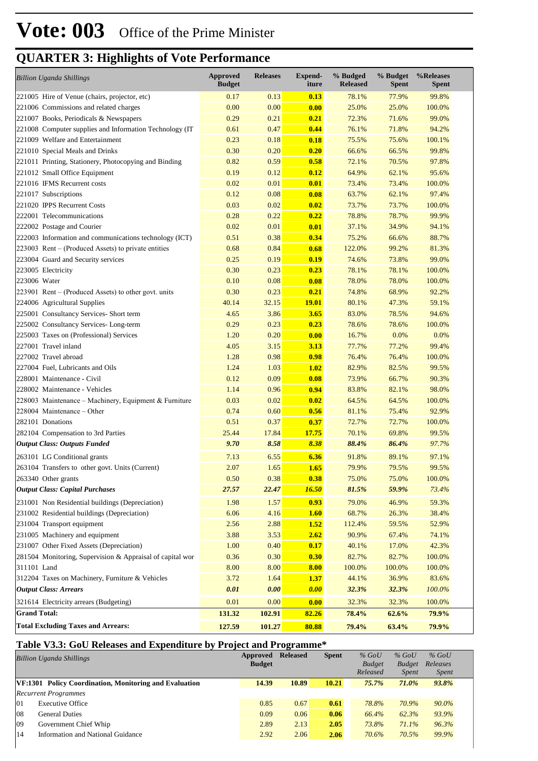| <b>Billion Uganda Shillings</b>                           | <b>Approved</b><br><b>Budget</b> | <b>Releases</b> | <b>Expend-</b><br>iture | % Budged<br><b>Released</b> | % Budget<br><b>Spent</b> | %Releases<br>Spent |
|-----------------------------------------------------------|----------------------------------|-----------------|-------------------------|-----------------------------|--------------------------|--------------------|
| 221005 Hire of Venue (chairs, projector, etc)             | 0.17                             | 0.13            | 0.13                    | 78.1%                       | 77.9%                    | 99.8%              |
| 221006 Commissions and related charges                    | 0.00                             | 0.00            | 0.00                    | 25.0%                       | 25.0%                    | 100.0%             |
| 221007 Books, Periodicals & Newspapers                    | 0.29                             | 0.21            | 0.21                    | 72.3%                       | 71.6%                    | 99.0%              |
| 221008 Computer supplies and Information Technology (IT   | 0.61                             | 0.47            | 0.44                    | 76.1%                       | 71.8%                    | 94.2%              |
| 221009 Welfare and Entertainment                          | 0.23                             | 0.18            | 0.18                    | 75.5%                       | 75.6%                    | 100.1%             |
| 221010 Special Meals and Drinks                           | 0.30                             | 0.20            | 0.20                    | 66.6%                       | 66.5%                    | 99.8%              |
| 221011 Printing, Stationery, Photocopying and Binding     | 0.82                             | 0.59            | 0.58                    | 72.1%                       | 70.5%                    | 97.8%              |
| 221012 Small Office Equipment                             | 0.19                             | 0.12            | 0.12                    | 64.9%                       | 62.1%                    | 95.6%              |
| 221016 IFMS Recurrent costs                               | 0.02                             | 0.01            | 0.01                    | 73.4%                       | 73.4%                    | 100.0%             |
| 221017 Subscriptions                                      | 0.12                             | 0.08            | 0.08                    | 63.7%                       | 62.1%                    | 97.4%              |
| 221020 IPPS Recurrent Costs                               | 0.03                             | 0.02            | 0.02                    | 73.7%                       | 73.7%                    | 100.0%             |
| 222001 Telecommunications                                 | 0.28                             | 0.22            | 0.22                    | 78.8%                       | 78.7%                    | 99.9%              |
| 222002 Postage and Courier                                | 0.02                             | 0.01            | 0.01                    | 37.1%                       | 34.9%                    | 94.1%              |
| 222003 Information and communications technology (ICT)    | 0.51                             | 0.38            | 0.34                    | 75.2%                       | 66.6%                    | 88.7%              |
| 223003 Rent – (Produced Assets) to private entities       | 0.68                             | 0.84            | 0.68                    | 122.0%                      | 99.2%                    | 81.3%              |
| 223004 Guard and Security services                        | 0.25                             | 0.19            | 0.19                    | 74.6%                       | 73.8%                    | 99.0%              |
| 223005 Electricity                                        | 0.30                             | 0.23            | 0.23                    | 78.1%                       | 78.1%                    | 100.0%             |
| 223006 Water                                              | 0.10                             | 0.08            | 0.08                    | 78.0%                       | 78.0%                    | 100.0%             |
| 223901 Rent – (Produced Assets) to other govt. units      | 0.30                             | 0.23            | 0.21                    | 74.8%                       | 68.9%                    | 92.2%              |
| 224006 Agricultural Supplies                              | 40.14                            | 32.15           | <u>19.01</u>            | 80.1%                       | 47.3%                    | 59.1%              |
| 225001 Consultancy Services- Short term                   | 4.65                             | 3.86            | 3.65                    | 83.0%                       | 78.5%                    | 94.6%              |
| 225002 Consultancy Services-Long-term                     | 0.29                             | 0.23            | 0.23                    | 78.6%                       | 78.6%                    | 100.0%             |
| 225003 Taxes on (Professional) Services                   | 1.20                             | 0.20            | 0.00                    | 16.7%                       | 0.0%                     | 0.0%               |
| 227001 Travel inland                                      | 4.05                             | 3.15            | 3.13                    | 77.7%                       | 77.2%                    | 99.4%              |
| 227002 Travel abroad                                      | 1.28                             | 0.98            | 0.98                    | 76.4%                       | 76.4%                    | 100.0%             |
| 227004 Fuel, Lubricants and Oils                          | 1.24                             | 1.03            | 1.02                    | 82.9%                       | 82.5%                    | 99.5%              |
| 228001 Maintenance - Civil                                | 0.12                             | 0.09            | 0.08                    | 73.9%                       | 66.7%                    | 90.3%              |
| 228002 Maintenance - Vehicles                             | 1.14                             | 0.96            | 0.94                    | 83.8%                       | 82.1%                    | 98.0%              |
| 228003 Maintenance – Machinery, Equipment & Furniture     | 0.03                             | 0.02            | 0.02                    | 64.5%                       | 64.5%                    | 100.0%             |
| 228004 Maintenance – Other                                | 0.74                             | 0.60            | 0.56                    | 81.1%                       | 75.4%                    | 92.9%              |
| 282101 Donations                                          | 0.51                             | 0.37            | 0.37                    | 72.7%                       | 72.7%                    | 100.0%             |
| 282104 Compensation to 3rd Parties                        | 25.44                            | 17.84           | 17.75                   | 70.1%                       | 69.8%                    | 99.5%              |
| <b>Output Class: Outputs Funded</b>                       | 9.70                             | 8.58            | 8.38                    | 88.4%                       | 86.4%                    | 97.7%              |
| 263101 LG Conditional grants                              | 7.13                             | 6.55            | 6.36                    | 91.8%                       | 89.1%                    | 97.1%              |
| 263104 Transfers to other govt. Units (Current)           | 2.07                             | 1.65            | 1.65                    | 79.9%                       | 79.5%                    | 99.5%              |
| 263340 Other grants                                       | 0.50                             | 0.38            | 0.38                    | 75.0%                       | 75.0%                    | 100.0%             |
| <b>Output Class: Capital Purchases</b>                    | 27.57                            | 22.47           | 16.50                   | 81.5%                       | 59.9%                    | 73.4%              |
| 231001 Non Residential buildings (Depreciation)           | 1.98                             | 1.57            | 0.93                    | 79.0%                       | 46.9%                    | 59.3%              |
| 231002 Residential buildings (Depreciation)               | 6.06                             | 4.16            | <b>1.60</b>             | 68.7%                       | 26.3%                    | 38.4%              |
| 231004 Transport equipment                                | 2.56                             | 2.88            | <b>1.52</b>             | 112.4%                      | 59.5%                    | 52.9%              |
| 231005 Machinery and equipment                            | 3.88                             | 3.53            | 2.62                    | 90.9%                       | 67.4%                    | 74.1%              |
| 231007 Other Fixed Assets (Depreciation)                  | 1.00                             | 0.40            | 0.17                    | 40.1%                       | 17.0%                    | 42.3%              |
| 281504 Monitoring, Supervision & Appraisal of capital wor | 0.36                             | 0.30            | 0.30                    | 82.7%                       | 82.7%                    | 100.0%             |
| 311101 Land                                               | 8.00                             | 8.00            | 8.00                    | 100.0%                      | 100.0%                   | 100.0%             |
| 312204 Taxes on Machinery, Furniture & Vehicles           | 3.72                             | 1.64            | 1.37                    | 44.1%                       | 36.9%                    | 83.6%              |
| <b>Output Class: Arrears</b>                              | 0.01                             | 0.00            | 0.00                    | 32.3%                       | 32.3%                    | 100.0%             |
| 321614 Electricity arrears (Budgeting)                    | 0.01                             | 0.00            | 0.00                    | 32.3%                       | 32.3%                    | 100.0%             |
| <b>Grand Total:</b>                                       | 131.32                           | 102.91          | 82.26                   | 78.4%                       | 62.6%                    | 79.9%              |
| <b>Total Excluding Taxes and Arrears:</b>                 | 127.59                           | 101.27          | 80.88                   | 79.4%                       | 63.4%                    | 79.9%              |

### **Table V3.3: GoU Releases and Expenditure by Project and Programme\***

|    | <b>Billion Uganda Shillings</b>                               | Approved<br><b>Budget</b> | <b>Released</b> | <b>Spent</b> | $%$ GoU<br><b>Budget</b><br>Released | $%$ GoU<br><b>Budget</b><br><i>Spent</i> | $%$ GoU<br>Releases<br><i>Spent</i> |
|----|---------------------------------------------------------------|---------------------------|-----------------|--------------|--------------------------------------|------------------------------------------|-------------------------------------|
|    | <b>VF:1301 Policy Coordination, Monitoring and Evaluation</b> | 14.39                     | 10.89           | 10.21        | 75.7%                                | 71.0%                                    | 93.8%                               |
|    | <b>Recurrent Programmes</b>                                   |                           |                 |              |                                      |                                          |                                     |
| 01 | <b>Executive Office</b>                                       | 0.85                      | 0.67            | 0.61         | 78.8%                                | 70.9%                                    | $90.0\%$                            |
| 08 | <b>General Duties</b>                                         | 0.09                      | 0.06            | 0.06         | 66.4%                                | 62.3%                                    | 93.9%                               |
| 09 | Government Chief Whip                                         | 2.89                      | 2.13            | 2.05         | 73.8%                                | $71.1\%$                                 | 96.3%                               |
| 14 | Information and National Guidance                             | 2.92                      | 2.06            | 2.06         | 70.6%                                | 70.5%                                    | 99.9%                               |
|    |                                                               |                           |                 |              |                                      |                                          |                                     |